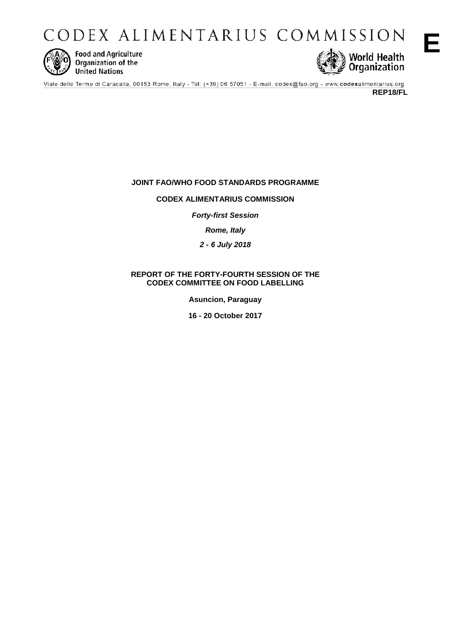CODEX ALIMENTARIUS COMMISSION



**Food and Agriculture** Organization of the **United Nations** 



**REP18/FL** 

**E**

# **JOINT FAO/WHO FOOD STANDARDS PROGRAMME**

## **CODEX ALIMENTARIUS COMMISSION**

*Forty-first Session*

*Rome, Italy*

*2 - 6 July 2018* 

## **REPORT OF THE FORTY-FOURTH SESSION OF THE CODEX COMMITTEE ON FOOD LABELLING**

**Asuncion, Paraguay**

**16 - 20 October 2017**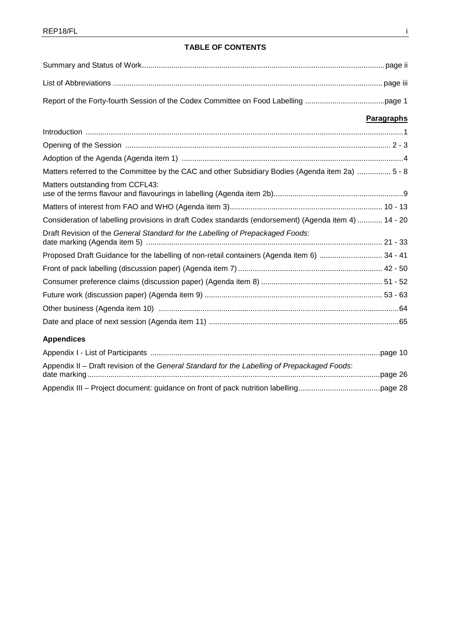# **TABLE OF CONTENTS**

|                                                                                                       | <b>Paragraphs</b> |
|-------------------------------------------------------------------------------------------------------|-------------------|
|                                                                                                       |                   |
|                                                                                                       |                   |
|                                                                                                       |                   |
| Matters referred to the Committee by the CAC and other Subsidiary Bodies (Agenda item 2a)  5 - 8      |                   |
| Matters outstanding from CCFL43:                                                                      |                   |
|                                                                                                       |                   |
| Consideration of labelling provisions in draft Codex standards (endorsement) (Agenda item 4)  14 - 20 |                   |
| Draft Revision of the General Standard for the Labelling of Prepackaged Foods:                        |                   |
| Proposed Draft Guidance for the labelling of non-retail containers (Agenda item 6)  34 - 41           |                   |
|                                                                                                       |                   |
|                                                                                                       |                   |
|                                                                                                       |                   |
|                                                                                                       |                   |
|                                                                                                       |                   |
| <b>Appendices</b>                                                                                     |                   |
|                                                                                                       |                   |
| Appendix II - Draft revision of the General Standard for the Labelling of Prepackaged Foods:          |                   |
|                                                                                                       |                   |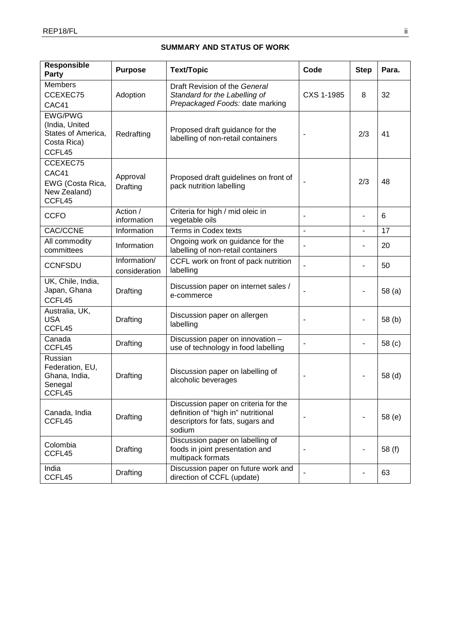# **SUMMARY AND STATUS OF WORK**

| Responsible<br>Party                                                            | <b>Purpose</b>                | <b>Text/Topic</b>                                                                                                         | Code                         | <b>Step</b>              | Para.             |
|---------------------------------------------------------------------------------|-------------------------------|---------------------------------------------------------------------------------------------------------------------------|------------------------------|--------------------------|-------------------|
| <b>Members</b><br>CCEXEC75<br>CAC41                                             | Adoption                      | Draft Revision of the General<br>Standard for the Labelling of<br>Prepackaged Foods: date marking                         | CXS 1-1985                   | 8                        | 32                |
| <b>EWG/PWG</b><br>(India, United<br>States of America,<br>Costa Rica)<br>CCFL45 | Redrafting                    | Proposed draft guidance for the<br>labelling of non-retail containers                                                     | -                            | 2/3                      | 41                |
| CCEXEC75<br>CAC41<br>EWG (Costa Rica,<br>New Zealand)<br>CCFL45                 | Approval<br>Drafting          | Proposed draft guidelines on front of<br>pack nutrition labelling                                                         | $\overline{\phantom{a}}$     | 2/3                      | 48                |
| <b>CCFO</b>                                                                     | Action /<br>information       | Criteria for high / mid oleic in<br>vegetable oils                                                                        | ä,                           | $\overline{\phantom{0}}$ | 6                 |
| CAC/CCNE                                                                        | Information                   | Terms in Codex texts                                                                                                      | $\overline{a}$               | $\overline{\phantom{0}}$ | 17                |
| All commodity<br>committees                                                     | Information                   | Ongoing work on guidance for the<br>labelling of non-retail containers                                                    |                              |                          | 20                |
| <b>CCNFSDU</b>                                                                  | Information/<br>consideration | CCFL work on front of pack nutrition<br>labelling                                                                         | ä,                           | $\overline{\phantom{0}}$ | 50                |
| UK, Chile, India,<br>Japan, Ghana<br>CCFL45                                     | Drafting                      | Discussion paper on internet sales /<br>e-commerce                                                                        |                              | $\overline{\phantom{0}}$ | 58 <sub>(a)</sub> |
| Australia, UK,<br><b>USA</b><br>CCFL45                                          | Drafting                      | Discussion paper on allergen<br>labelling                                                                                 | $\overline{\phantom{a}}$     | ٠                        | 58 <sub>(b)</sub> |
| Canada<br>CCFL45                                                                | Drafting                      | Discussion paper on innovation -<br>use of technology in food labelling                                                   | $\qquad \qquad \blacksquare$ | -                        | 58 (c)            |
| Russian<br>Federation, EU,<br>Ghana, India,<br>Senegal<br>CCFL45                | Drafting                      | Discussion paper on labelling of<br>alcoholic beverages                                                                   | $\blacksquare$               |                          | 58 (d)            |
| Canada, India<br>CCFL45                                                         | Drafting                      | Discussion paper on criteria for the<br>definition of "high in" nutritional<br>descriptors for fats, sugars and<br>sodium | $\overline{\phantom{a}}$     | $\overline{\phantom{a}}$ | 58 (e)            |
| Colombia<br>CCFL45                                                              | Drafting                      | Discussion paper on labelling of<br>foods in joint presentation and<br>multipack formats                                  |                              | ۰                        | 58 (f)            |
| India<br>CCFL45                                                                 | Drafting                      | Discussion paper on future work and<br>direction of CCFL (update)                                                         |                              |                          | 63                |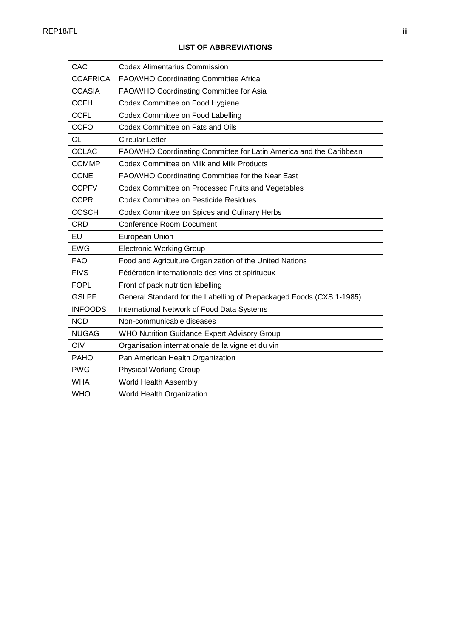| CAC             | <b>Codex Alimentarius Commission</b>                                 |
|-----------------|----------------------------------------------------------------------|
| <b>CCAFRICA</b> | FAO/WHO Coordinating Committee Africa                                |
| <b>CCASIA</b>   | FAO/WHO Coordinating Committee for Asia                              |
| <b>CCFH</b>     | Codex Committee on Food Hygiene                                      |
| <b>CCFL</b>     | Codex Committee on Food Labelling                                    |
| <b>CCFO</b>     | Codex Committee on Fats and Oils                                     |
| СL              | <b>Circular Letter</b>                                               |
| <b>CCLAC</b>    | FAO/WHO Coordinating Committee for Latin America and the Caribbean   |
| <b>CCMMP</b>    | <b>Codex Committee on Milk and Milk Products</b>                     |
| <b>CCNE</b>     | FAO/WHO Coordinating Committee for the Near East                     |
| <b>CCPFV</b>    | Codex Committee on Processed Fruits and Vegetables                   |
| <b>CCPR</b>     | <b>Codex Committee on Pesticide Residues</b>                         |
| <b>CCSCH</b>    | Codex Committee on Spices and Culinary Herbs                         |
| <b>CRD</b>      | <b>Conference Room Document</b>                                      |
| EU              | European Union                                                       |
| <b>EWG</b>      | <b>Electronic Working Group</b>                                      |
| <b>FAO</b>      | Food and Agriculture Organization of the United Nations              |
| <b>FIVS</b>     | Fédération internationale des vins et spiritueux                     |
| <b>FOPL</b>     | Front of pack nutrition labelling                                    |
| <b>GSLPF</b>    | General Standard for the Labelling of Prepackaged Foods (CXS 1-1985) |
| <b>INFOODS</b>  | International Network of Food Data Systems                           |
| <b>NCD</b>      | Non-communicable diseases                                            |
| <b>NUGAG</b>    | WHO Nutrition Guidance Expert Advisory Group                         |
| OIV             | Organisation internationale de la vigne et du vin                    |
| <b>PAHO</b>     | Pan American Health Organization                                     |
| <b>PWG</b>      | <b>Physical Working Group</b>                                        |
| <b>WHA</b>      | World Health Assembly                                                |
| <b>WHO</b>      | World Health Organization                                            |

# **LIST OF ABBREVIATIONS**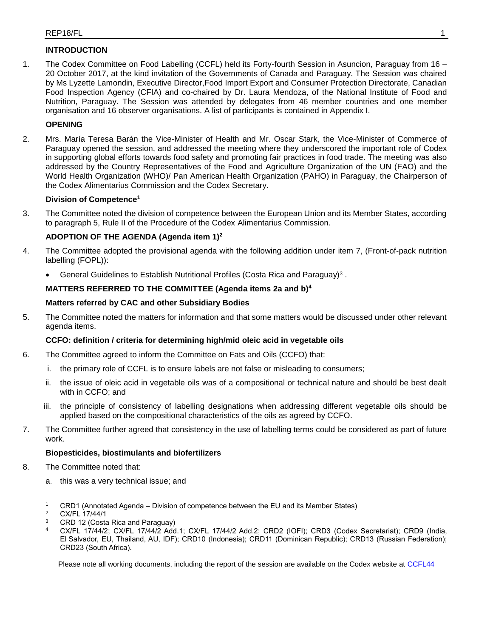# **INTRODUCTION**

1. The Codex Committee on Food Labelling (CCFL) held its Forty-fourth Session in Asuncion, Paraguay from 16 – 20 October 2017, at the kind invitation of the Governments of Canada and Paraguay. The Session was chaired by Ms Lyzette Lamondin, Executive Director,Food Import Export and Consumer Protection Directorate, Canadian Food Inspection Agency (CFIA) and co-chaired by Dr. Laura Mendoza, of the National Institute of Food and Nutrition, Paraguay. The Session was attended by delegates from 46 member countries and one member organisation and 16 observer organisations. A list of participants is contained in Appendix I.

# **OPENING**

2. Mrs. María Teresa Barán the Vice-Minister of Health and Mr. Oscar Stark, the Vice-Minister of Commerce of Paraguay opened the session, and addressed the meeting where they underscored the important role of Codex in supporting global efforts towards food safety and promoting fair practices in food trade. The meeting was also addressed by the Country Representatives of the Food and Agriculture Organization of the UN (FAO) and the World Health Organization (WHO)/ Pan American Health Organization (PAHO) in Paraguay, the Chairperson of the Codex Alimentarius Commission and the Codex Secretary.

## **Division of Competence<sup>1</sup>**

3. The Committee noted the division of competence between the European Union and its Member States, according to paragraph 5, Rule II of the Procedure of the Codex Alimentarius Commission.

# **ADOPTION OF THE AGENDA (Agenda item 1)<sup>2</sup>**

- 4. The Committee adopted the provisional agenda with the following addition under item 7, (Front-of-pack nutrition labelling (FOPL)):
	- General Guidelines to Establish Nutritional Profiles (Costa Rica and Paraguay)<sup>3</sup>.

## **MATTERS REFERRED TO THE COMMITTEE (Agenda items 2a and b)<sup>4</sup>**

## **Matters referred by CAC and other Subsidiary Bodies**

5. The Committee noted the matters for information and that some matters would be discussed under other relevant agenda items.

## **CCFO: definition / criteria for determining high/mid oleic acid in vegetable oils**

- 6. The Committee agreed to inform the Committee on Fats and Oils (CCFO) that:
	- i. the primary role of CCFL is to ensure labels are not false or misleading to consumers;
	- ii. the issue of oleic acid in vegetable oils was of a compositional or technical nature and should be best dealt with in CCFO; and
	- iii. the principle of consistency of labelling designations when addressing different vegetable oils should be applied based on the compositional characteristics of the oils as agreed by CCFO.
- 7. The Committee further agreed that consistency in the use of labelling terms could be considered as part of future work.

## **Biopesticides, biostimulants and biofertilizers**

- 8. The Committee noted that:
	- a. this was a very technical issue; and

 $\overline{a}$ 

- <sup>3</sup> CRD 12 (Costa Rica and Paraguay)
- <sup>4</sup> CX/FL 17/44/2; CX/FL 17/44/2 Add.1; CX/FL 17/44/2 Add.2; CRD2 (IOFI); CRD3 (Codex Secretariat); CRD9 (India, El Salvador, EU, Thailand, AU, IDF); CRD10 (Indonesia); CRD11 (Dominican Republic); CRD13 (Russian Federation); CRD23 (South Africa).

<sup>&</sup>lt;sup>1</sup> CRD1 (Annotated Agenda – Division of competence between the EU and its Member States)

 $2^2$  CX/FL 17/44/1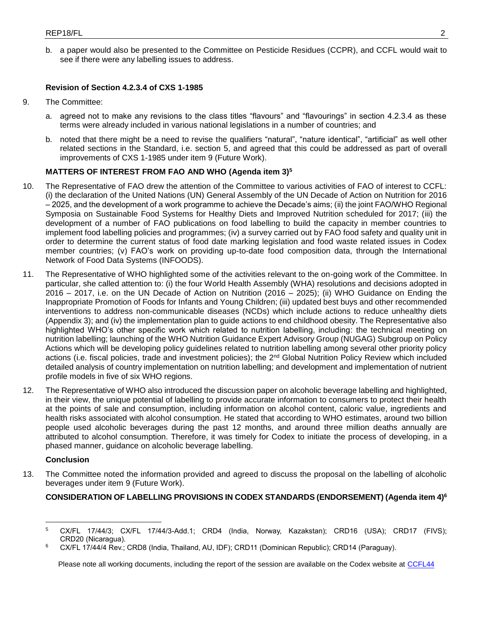b. a paper would also be presented to the Committee on Pesticide Residues (CCPR), and CCFL would wait to see if there were any labelling issues to address.

### **Revision of Section 4.2.3.4 of CXS 1-1985**

- 9. The Committee:
	- a. agreed not to make any revisions to the class titles "flavours" and "flavourings" in section 4.2.3.4 as these terms were already included in various national legislations in a number of countries; and
	- b. noted that there might be a need to revise the qualifiers "natural", "nature identical", "artificial" as well other related sections in the Standard, i.e. section 5, and agreed that this could be addressed as part of overall improvements of CXS 1-1985 under item 9 (Future Work).

### **MATTERS OF INTEREST FROM FAO AND WHO (Agenda item 3)<sup>5</sup>**

- 10. The Representative of FAO drew the attention of the Committee to various activities of FAO of interest to CCFL: (i) the declaration of the United Nations (UN) General Assembly of the UN Decade of Action on Nutrition for 2016 – 2025, and the development of a work programme to achieve the Decade's aims; (ii) the joint FAO/WHO Regional Symposia on Sustainable Food Systems for Healthy Diets and Improved Nutrition scheduled for 2017; (iii) the development of a number of FAO publications on food labelling to build the capacity in member countries to implement food labelling policies and programmes; (iv) a survey carried out by FAO food safety and quality unit in order to determine the current status of food date marking legislation and food waste related issues in Codex member countries; (v) FAO's work on providing up-to-date food composition data, through the International Network of Food Data Systems (INFOODS).
- 11. The Representative of WHO highlighted some of the activities relevant to the on-going work of the Committee. In particular, she called attention to: (i) the four World Health Assembly (WHA) resolutions and decisions adopted in 2016 – 2017, i.e. on the UN Decade of Action on Nutrition (2016 – 2025); (ii) WHO Guidance on Ending the Inappropriate Promotion of Foods for Infants and Young Children; (iii) updated best buys and other recommended interventions to address non-communicable diseases (NCDs) which include actions to reduce unhealthy diets (Appendix 3); and (iv) the implementation plan to guide actions to end childhood obesity. The Representative also highlighted WHO's other specific work which related to nutrition labelling, including: the technical meeting on nutrition labelling; launching of the WHO Nutrition Guidance Expert Advisory Group (NUGAG) Subgroup on Policy Actions which will be developing policy guidelines related to nutrition labelling among several other priority policy actions (i.e. fiscal policies, trade and investment policies); the 2<sup>nd</sup> Global Nutrition Policy Review which included detailed analysis of country implementation on nutrition labelling; and development and implementation of nutrient profile models in five of six WHO regions.
- 12. The Representative of WHO also introduced the discussion paper on alcoholic beverage labelling and highlighted, in their view, the unique potential of labelling to provide accurate information to consumers to protect their health at the points of sale and consumption, including information on alcohol content, caloric value, ingredients and health risks associated with alcohol consumption. He stated that according to WHO estimates, around two billion people used alcoholic beverages during the past 12 months, and around three million deaths annually are attributed to alcohol consumption. Therefore, it was timely for Codex to initiate the process of developing, in a phased manner, guidance on alcoholic beverage labelling.

### **Conclusion**

 $\overline{a}$ 

13. The Committee noted the information provided and agreed to discuss the proposal on the labelling of alcoholic beverages under item 9 (Future Work).

### **CONSIDERATION OF LABELLING PROVISIONS IN CODEX STANDARDS (ENDORSEMENT) (Agenda item 4)<sup>6</sup>**

<sup>5</sup> CX/FL 17/44/3; CX/FL 17/44/3-Add.1; CRD4 (India, Norway, Kazakstan); CRD16 (USA); CRD17 (FIVS); CRD20 (Nicaragua).

<sup>6</sup> CX/FL 17/44/4 Rev.; CRD8 (India, Thailand, AU, IDF); CRD11 (Dominican Republic); CRD14 (Paraguay).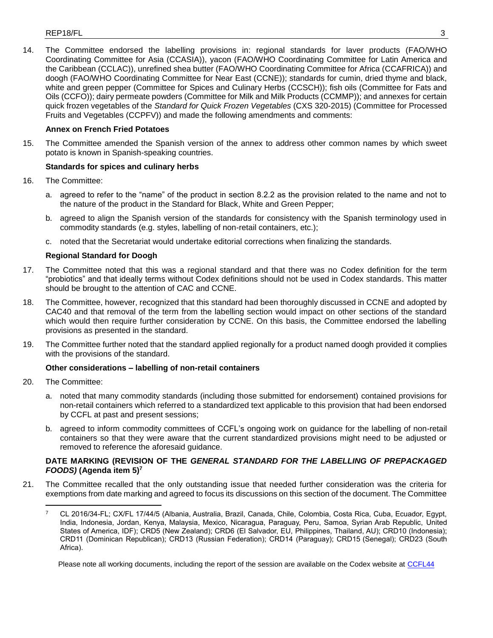### $REP18/FL$  3

14. The Committee endorsed the labelling provisions in: regional standards for laver products (FAO/WHO Coordinating Committee for Asia (CCASIA)), yacon (FAO/WHO Coordinating Committee for Latin America and the Caribbean (CCLAC)), unrefined shea butter (FAO/WHO Coordinating Committee for Africa (CCAFRICA)) and doogh (FAO/WHO Coordinating Committee for Near East (CCNE)); standards for cumin, dried thyme and black, white and green pepper (Committee for Spices and Culinary Herbs (CCSCH)); fish oils (Committee for Fats and Oils (CCFO)); dairy permeate powders (Committee for Milk and Milk Products (CCMMP)); and annexes for certain quick frozen vegetables of the *Standard for Quick Frozen Vegetables* (CXS 320-2015) (Committee for Processed Fruits and Vegetables (CCPFV)) and made the following amendments and comments:

### **Annex on French Fried Potatoes**

15. The Committee amended the Spanish version of the annex to address other common names by which sweet potato is known in Spanish-speaking countries.

### **Standards for spices and culinary herbs**

- 16. The Committee:
	- a. agreed to refer to the "name" of the product in section 8.2.2 as the provision related to the name and not to the nature of the product in the Standard for Black, White and Green Pepper;
	- b. agreed to align the Spanish version of the standards for consistency with the Spanish terminology used in commodity standards (e.g. styles, labelling of non-retail containers, etc.);
	- c. noted that the Secretariat would undertake editorial corrections when finalizing the standards.

### **Regional Standard for Doogh**

- 17. The Committee noted that this was a regional standard and that there was no Codex definition for the term "probiotics" and that ideally terms without Codex definitions should not be used in Codex standards. This matter should be brought to the attention of CAC and CCNE.
- 18. The Committee, however, recognized that this standard had been thoroughly discussed in CCNE and adopted by CAC40 and that removal of the term from the labelling section would impact on other sections of the standard which would then require further consideration by CCNE. On this basis, the Committee endorsed the labelling provisions as presented in the standard.
- 19. The Committee further noted that the standard applied regionally for a product named doogh provided it complies with the provisions of the standard.

### **Other considerations – labelling of non-retail containers**

20. The Committee:

 $\overline{a}$ 

- a. noted that many commodity standards (including those submitted for endorsement) contained provisions for non-retail containers which referred to a standardized text applicable to this provision that had been endorsed by CCFL at past and present sessions;
- b. agreed to inform commodity committees of CCFL's ongoing work on guidance for the labelling of non-retail containers so that they were aware that the current standardized provisions might need to be adjusted or removed to reference the aforesaid guidance.

### **DATE MARKING (REVISION OF THE** *GENERAL STANDARD FOR THE LABELLING OF PREPACKAGED FOODS)* **(Agenda item 5)<sup>7</sup>**

21. The Committee recalled that the only outstanding issue that needed further consideration was the criteria for exemptions from date marking and agreed to focus its discussions on this section of the document. The Committee

<sup>7</sup> CL 2016/34-FL; CX/FL 17/44/5 (Albania, Australia, Brazil, Canada, Chile, Colombia, Costa Rica, Cuba, Ecuador, Egypt, India, Indonesia, Jordan, Kenya, Malaysia, Mexico, Nicaragua, Paraguay, Peru, Samoa, Syrian Arab Republic, United States of America, IDF); CRD5 (New Zealand); CRD6 (El Salvador, EU, Philippines, Thailand, AU); CRD10 (Indonesia); CRD11 (Dominican Republican); CRD13 (Russian Federation); CRD14 (Paraguay); CRD15 (Senegal); CRD23 (South Africa).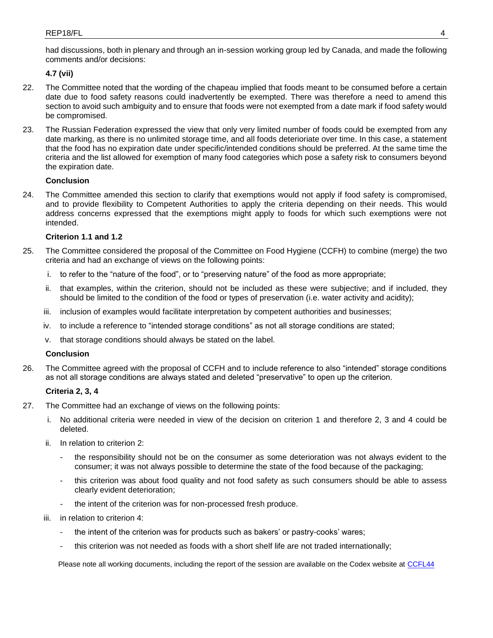had discussions, both in plenary and through an in-session working group led by Canada, and made the following comments and/or decisions:

## **4.7 (vii)**

- 22. The Committee noted that the wording of the chapeau implied that foods meant to be consumed before a certain date due to food safety reasons could inadvertently be exempted. There was therefore a need to amend this section to avoid such ambiguity and to ensure that foods were not exempted from a date mark if food safety would be compromised.
- 23. The Russian Federation expressed the view that only very limited number of foods could be exempted from any date marking, as there is no unlimited storage time, and all foods deterioriate over time. In this case, a statement that the food has no expiration date under specific/intended conditions should be preferred. At the same time the criteria and the list allowed for exemption of many food categories which pose a safety risk to consumers beyond the expiration date.

## **Conclusion**

24. The Committee amended this section to clarify that exemptions would not apply if food safety is compromised, and to provide flexibility to Competent Authorities to apply the criteria depending on their needs. This would address concerns expressed that the exemptions might apply to foods for which such exemptions were not intended.

## **Criterion 1.1 and 1.2**

- 25. The Committee considered the proposal of the Committee on Food Hygiene (CCFH) to combine (merge) the two criteria and had an exchange of views on the following points:
	- i. to refer to the "nature of the food", or to "preserving nature" of the food as more appropriate;
	- ii. that examples, within the criterion, should not be included as these were subjective; and if included, they should be limited to the condition of the food or types of preservation (i.e. water activity and acidity);
	- iii. inclusion of examples would facilitate interpretation by competent authorities and businesses;
	- iv. to include a reference to "intended storage conditions" as not all storage conditions are stated;
	- v. that storage conditions should always be stated on the label.

### **Conclusion**

26. The Committee agreed with the proposal of CCFH and to include reference to also "intended" storage conditions as not all storage conditions are always stated and deleted "preservative" to open up the criterion.

### **Criteria 2, 3, 4**

- 27. The Committee had an exchange of views on the following points:
	- i. No additional criteria were needed in view of the decision on criterion 1 and therefore 2, 3 and 4 could be deleted.
	- ii. In relation to criterion 2:
		- the responsibility should not be on the consumer as some deterioration was not always evident to the consumer; it was not always possible to determine the state of the food because of the packaging;
		- this criterion was about food quality and not food safety as such consumers should be able to assess clearly evident deterioration;
		- the intent of the criterion was for non-processed fresh produce.
	- iii. in relation to criterion 4:
		- the intent of the criterion was for products such as bakers' or pastry-cooks' wares;
		- this criterion was not needed as foods with a short shelf life are not traded internationally;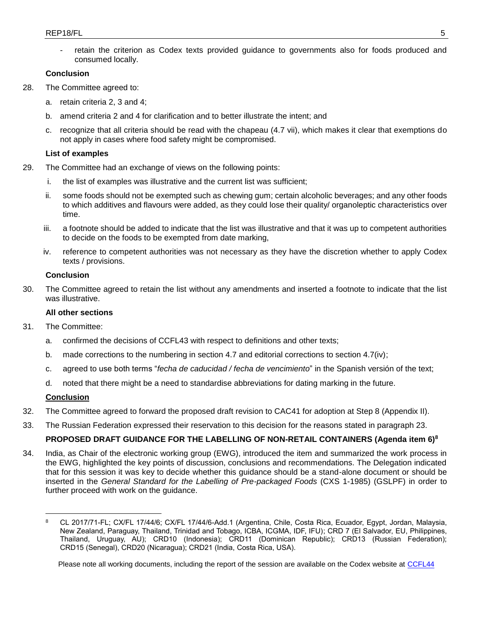retain the criterion as Codex texts provided guidance to governments also for foods produced and consumed locally.

### **Conclusion**

- 28. The Committee agreed to:
	- a. retain criteria 2, 3 and 4;
	- b. amend criteria 2 and 4 for clarification and to better illustrate the intent; and
	- c. recognize that all criteria should be read with the chapeau (4.7 vii), which makes it clear that exemptions do not apply in cases where food safety might be compromised.

## **List of examples**

- 29. The Committee had an exchange of views on the following points:
	- i. the list of examples was illustrative and the current list was sufficient;
	- ii. some foods should not be exempted such as chewing gum; certain alcoholic beverages; and any other foods to which additives and flavours were added, as they could lose their quality/ organoleptic characteristics over time.
	- iii. a footnote should be added to indicate that the list was illustrative and that it was up to competent authorities to decide on the foods to be exempted from date marking,
	- iv. reference to competent authorities was not necessary as they have the discretion whether to apply Codex texts / provisions.

## **Conclusion**

30. The Committee agreed to retain the list without any amendments and inserted a footnote to indicate that the list was illustrative.

## **All other sections**

- 31. The Committee:
	- a. confirmed the decisions of CCFL43 with respect to definitions and other texts;
	- b. made corrections to the numbering in section 4.7 and editorial corrections to section 4.7(iv);
	- c. agreed to use both terms "*fecha de caducidad / fecha de vencimiento*" in the Spanish versión of the text;
	- d. noted that there might be a need to standardise abbreviations for dating marking in the future.

## **Conclusion**

 $\overline{a}$ 

- 32. The Committee agreed to forward the proposed draft revision to CAC41 for adoption at Step 8 (Appendix II).
- 33. The Russian Federation expressed their reservation to this decision for the reasons stated in paragraph 23.

# **PROPOSED DRAFT GUIDANCE FOR THE LABELLING OF NON-RETAIL CONTAINERS (Agenda item 6)<sup>8</sup>**

34. India, as Chair of the electronic working group (EWG), introduced the item and summarized the work process in the EWG, highlighted the key points of discussion, conclusions and recommendations. The Delegation indicated that for this session it was key to decide whether this guidance should be a stand-alone document or should be inserted in the *General Standard for the Labelling of Pre-packaged Foods* (CXS 1-1985) (GSLPF) in order to further proceed with work on the guidance.

<sup>8</sup> CL 2017/71-FL; CX/FL 17/44/6; CX/FL 17/44/6-Add.1 (Argentina, Chile, Costa Rica, Ecuador, Egypt, Jordan, Malaysia, New Zealand, Paraguay, Thailand, Trinidad and Tobago, ICBA, ICGMA, IDF, IFU); CRD 7 (El Salvador, EU, Philippines, Thailand, Uruguay, AU); CRD10 (Indonesia); CRD11 (Dominican Republic); CRD13 (Russian Federation); CRD15 (Senegal), CRD20 (Nicaragua); CRD21 (India, Costa Rica, USA).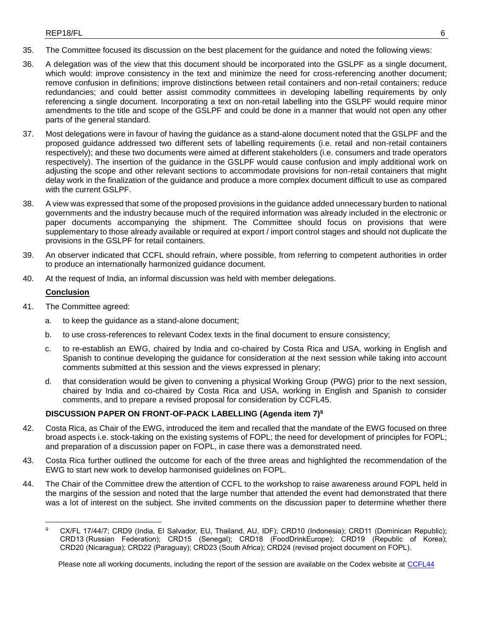- 35. The Committee focused its discussion on the best placement for the guidance and noted the following views:
- 36. A delegation was of the view that this document should be incorporated into the GSLPF as a single document, which would: improve consistency in the text and minimize the need for cross-referencing another document; remove confusion in definitions; improve distinctions between retail containers and non-retail containers; reduce redundancies; and could better assist commodity committees in developing labelling requirements by only referencing a single document. Incorporating a text on non-retail labelling into the GSLPF would require minor amendments to the title and scope of the GSLPF and could be done in a manner that would not open any other parts of the general standard.
- 37. Most delegations were in favour of having the guidance as a stand-alone document noted that the GSLPF and the proposed guidance addressed two different sets of labelling requirements (i.e. retail and non-retail containers respectively); and these two documents were aimed at different stakeholders (i.e. consumers and trade operators respectively). The insertion of the guidance in the GSLPF would cause confusion and imply additional work on adjusting the scope and other relevant sections to accommodate provisions for non-retail containers that might delay work in the finalization of the guidance and produce a more complex document difficult to use as compared with the current GSLPF.
- 38. A view was expressed that some of the proposed provisions in the guidance added unnecessary burden to national governments and the industry because much of the required information was already included in the electronic or paper documents accompanying the shipment. The Committee should focus on provisions that were supplementary to those already available or required at export / import control stages and should not duplicate the provisions in the GSLPF for retail containers.
- 39. An observer indicated that CCFL should refrain, where possible, from referring to competent authorities in order to produce an internationally harmonized guidance document.
- 40. At the request of India, an informal discussion was held with member delegations.

## **Conclusion**

- 41. The Committee agreed:
	- a. to keep the guidance as a stand-alone document;
	- b. to use cross-references to relevant Codex texts in the final document to ensure consistency;
	- c. to re-establish an EWG, chaired by India and co-chaired by Costa Rica and USA, working in English and Spanish to continue developing the guidance for consideration at the next session while taking into account comments submitted at this session and the views expressed in plenary;
	- d. that consideration would be given to convening a physical Working Group (PWG) prior to the next session, chaired by India and co-chaired by Costa Rica and USA, working in English and Spanish to consider comments, and to prepare a revised proposal for consideration by CCFL45.

# **DISCUSSION PAPER ON FRONT-OF-PACK LABELLING (Agenda item 7)<sup>9</sup>**

- 42. Costa Rica, as Chair of the EWG, introduced the item and recalled that the mandate of the EWG focused on three broad aspects i.e. stock-taking on the existing systems of FOPL; the need for development of principles for FOPL; and preparation of a discussion paper on FOPL, in case there was a demonstrated need.
- 43. Costa Rica further outlined the outcome for each of the three areas and highlighted the recommendation of the EWG to start new work to develop harmonised guidelines on FOPL.
- 44. The Chair of the Committee drew the attention of CCFL to the workshop to raise awareness around FOPL held in the margins of the session and noted that the large number that attended the event had demonstrated that there was a lot of interest on the subject. She invited comments on the discussion paper to determine whether there

 $\overline{a}$ 9 CX/FL 17/44/7; CRD9 (India, El Salvador, EU, Thailand, AU, IDF); CRD10 (Indonesia); CRD11 (Dominican Republic); CRD13 (Russian Federation); CRD15 (Senegal); CRD18 (FoodDrinkEurope); CRD19 (Republic of Korea); CRD20 (Nicaragua); CRD22 (Paraguay); CRD23 (South Africa); CRD24 (revised project document on FOPL).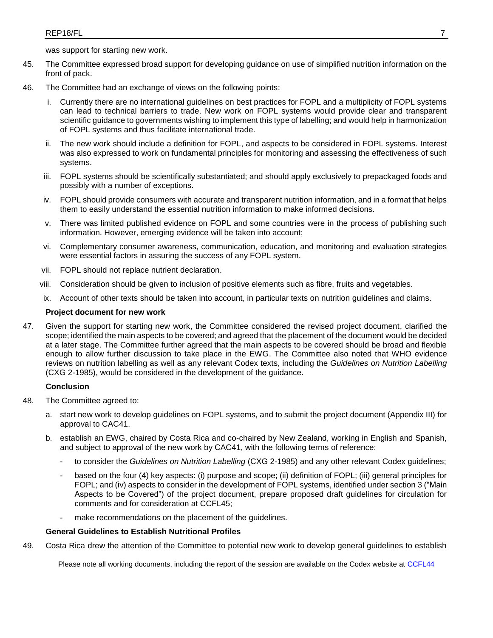was support for starting new work.

- 45. The Committee expressed broad support for developing guidance on use of simplified nutrition information on the front of pack.
- 46. The Committee had an exchange of views on the following points:
	- i. Currently there are no international guidelines on best practices for FOPL and a multiplicity of FOPL systems can lead to technical barriers to trade. New work on FOPL systems would provide clear and transparent scientific guidance to governments wishing to implement this type of labelling; and would help in harmonization of FOPL systems and thus facilitate international trade.
	- The new work should include a definition for FOPL, and aspects to be considered in FOPL systems. Interest was also expressed to work on fundamental principles for monitoring and assessing the effectiveness of such systems.
	- iii. FOPL systems should be scientifically substantiated; and should apply exclusively to prepackaged foods and possibly with a number of exceptions.
	- iv. FOPL should provide consumers with accurate and transparent nutrition information, and in a format that helps them to easily understand the essential nutrition information to make informed decisions.
	- v. There was limited published evidence on FOPL and some countries were in the process of publishing such information. However, emerging evidence will be taken into account;
	- vi. Complementary consumer awareness, communication, education, and monitoring and evaluation strategies were essential factors in assuring the success of any FOPL system.
	- vii. FOPL should not replace nutrient declaration.
	- viii. Consideration should be given to inclusion of positive elements such as fibre, fruits and vegetables.
	- ix. Account of other texts should be taken into account, in particular texts on nutrition guidelines and claims.

### **Project document for new work**

47. Given the support for starting new work, the Committee considered the revised project document, clarified the scope; identified the main aspects to be covered; and agreed that the placement of the document would be decided at a later stage. The Committee further agreed that the main aspects to be covered should be broad and flexible enough to allow further discussion to take place in the EWG. The Committee also noted that WHO evidence reviews on nutrition labelling as well as any relevant Codex texts, including the *Guidelines on Nutrition Labelling* (CXG 2-1985), would be considered in the development of the guidance.

### **Conclusion**

- 48. The Committee agreed to:
	- a. start new work to develop guidelines on FOPL systems, and to submit the project document (Appendix III) for approval to CAC41.
	- b. establish an EWG, chaired by Costa Rica and co-chaired by New Zealand, working in English and Spanish, and subject to approval of the new work by CAC41, with the following terms of reference:
		- to consider the *Guidelines on Nutrition Labelling* (CXG 2-1985) and any other relevant Codex guidelines;
		- based on the four (4) key aspects: (i) purpose and scope; (ii) definition of FOPL; (iii) general principles for FOPL; and (iv) aspects to consider in the development of FOPL systems, identified under section 3 ("Main Aspects to be Covered") of the project document, prepare proposed draft guidelines for circulation for comments and for consideration at CCFL45;
		- make recommendations on the placement of the quidelines.

### **General Guidelines to Establish Nutritional Profiles**

49. Costa Rica drew the attention of the Committee to potential new work to develop general guidelines to establish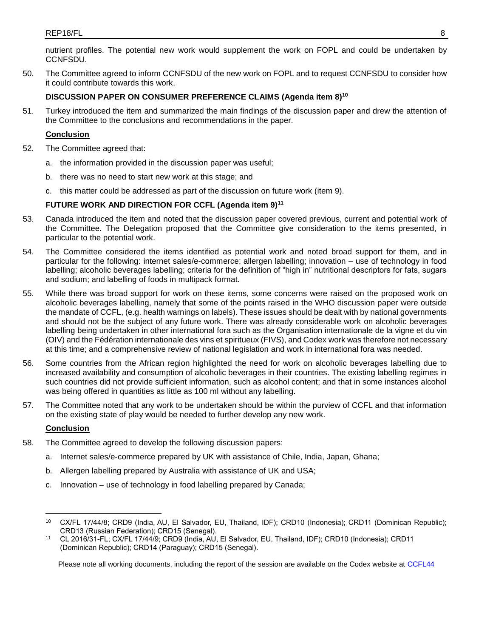nutrient profiles. The potential new work would supplement the work on FOPL and could be undertaken by CCNFSDU.

50. The Committee agreed to inform CCNFSDU of the new work on FOPL and to request CCNFSDU to consider how it could contribute towards this work.

## **DISCUSSION PAPER ON CONSUMER PREFERENCE CLAIMS (Agenda item 8)<sup>10</sup>**

51. Turkey introduced the item and summarized the main findings of the discussion paper and drew the attention of the Committee to the conclusions and recommendations in the paper.

### **Conclusion**

- 52. The Committee agreed that:
	- a. the information provided in the discussion paper was useful;
	- b. there was no need to start new work at this stage; and
	- c. this matter could be addressed as part of the discussion on future work (item 9).

## **FUTURE WORK AND DIRECTION FOR CCFL (Agenda item 9)<sup>11</sup>**

- 53. Canada introduced the item and noted that the discussion paper covered previous, current and potential work of the Committee. The Delegation proposed that the Committee give consideration to the items presented, in particular to the potential work.
- 54. The Committee considered the items identified as potential work and noted broad support for them, and in particular for the following: internet sales/e-commerce; allergen labelling; innovation – use of technology in food labelling; alcoholic beverages labelling; criteria for the definition of "high in" nutritional descriptors for fats, sugars and sodium; and labelling of foods in multipack format.
- 55. While there was broad support for work on these items, some concerns were raised on the proposed work on alcoholic beverages labelling, namely that some of the points raised in the WHO discussion paper were outside the mandate of CCFL, (e.g. health warnings on labels). These issues should be dealt with by national governments and should not be the subject of any future work. There was already considerable work on alcoholic beverages labelling being undertaken in other international fora such as the Organisation internationale de la vigne et du vin (OIV) and the Fédération internationale des vins et spiritueux (FIVS), and Codex work was therefore not necessary at this time; and a comprehensive review of national legislation and work in international fora was needed.
- 56. Some countries from the African region highlighted the need for work on alcoholic beverages labelling due to increased availability and consumption of alcoholic beverages in their countries. The existing labelling regimes in such countries did not provide sufficient information, such as alcohol content; and that in some instances alcohol was being offered in quantities as little as 100 ml without any labelling.
- 57. The Committee noted that any work to be undertaken should be within the purview of CCFL and that information on the existing state of play would be needed to further develop any new work.

## **Conclusion**

 $\overline{a}$ 

- 58. The Committee agreed to develop the following discussion papers:
	- a. Internet sales/e-commerce prepared by UK with assistance of Chile, India, Japan, Ghana;
	- b. Allergen labelling prepared by Australia with assistance of UK and USA;
	- c. Innovation use of technology in food labelling prepared by Canada;

<sup>10</sup> CX/FL 17/44/8; CRD9 (India, AU, El Salvador, EU, Thailand, IDF); CRD10 (Indonesia); CRD11 (Dominican Republic); CRD13 (Russian Federation); CRD15 (Senegal).

<sup>11</sup> CL 2016/31-FL; CX/FL 17/44/9; CRD9 (India, AU, El Salvador, EU, Thailand, IDF); CRD10 (Indonesia); CRD11 (Dominican Republic); CRD14 (Paraguay); CRD15 (Senegal).

Please note all working documents, including the report of the session are available on the Codex website at [CCFL44](http://www.fao.org/fao-who-codexalimentarius/meetings-reports/detail/en/?meeting=CCFL&session=44)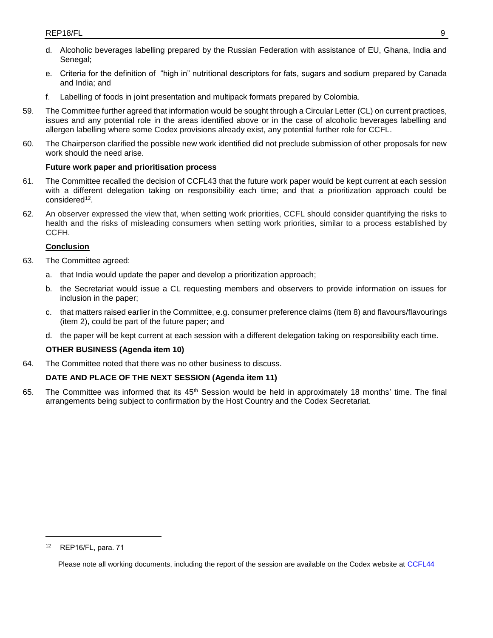- d. Alcoholic beverages labelling prepared by the Russian Federation with assistance of EU, Ghana, India and Senegal:
- e. Criteria for the definition of "high in" nutritional descriptors for fats, sugars and sodium prepared by Canada and India; and
- f. Labelling of foods in joint presentation and multipack formats prepared by Colombia.
- 59. The Committee further agreed that information would be sought through a Circular Letter (CL) on current practices, issues and any potential role in the areas identified above or in the case of alcoholic beverages labelling and allergen labelling where some Codex provisions already exist, any potential further role for CCFL.
- 60. The Chairperson clarified the possible new work identified did not preclude submission of other proposals for new work should the need arise.

### **Future work paper and prioritisation process**

- 61. The Committee recalled the decision of CCFL43 that the future work paper would be kept current at each session with a different delegation taking on responsibility each time; and that a prioritization approach could be considered<sup>12</sup> .
- 62. An observer expressed the view that, when setting work priorities, CCFL should consider quantifying the risks to health and the risks of misleading consumers when setting work priorities, similar to a process established by CCFH.

### **Conclusion**

- 63. The Committee agreed:
	- a. that India would update the paper and develop a prioritization approach;
	- b. the Secretariat would issue a CL requesting members and observers to provide information on issues for inclusion in the paper;
	- c. that matters raised earlier in the Committee, e.g. consumer preference claims (item 8) and flavours/flavourings (item 2), could be part of the future paper; and
	- d. the paper will be kept current at each session with a different delegation taking on responsibility each time.

### **OTHER BUSINESS (Agenda item 10)**

64. The Committee noted that there was no other business to discuss.

### **DATE AND PLACE OF THE NEXT SESSION (Agenda item 11)**

65. The Committee was informed that its  $45<sup>th</sup>$  Session would be held in approximately 18 months' time. The final arrangements being subject to confirmation by the Host Country and the Codex Secretariat.

 $\overline{a}$ 

<sup>12</sup> REP16/FL, para. 71

Please note all working documents, including the report of the session are available on the Codex website at [CCFL44](http://www.fao.org/fao-who-codexalimentarius/meetings-reports/detail/en/?meeting=CCFL&session=44)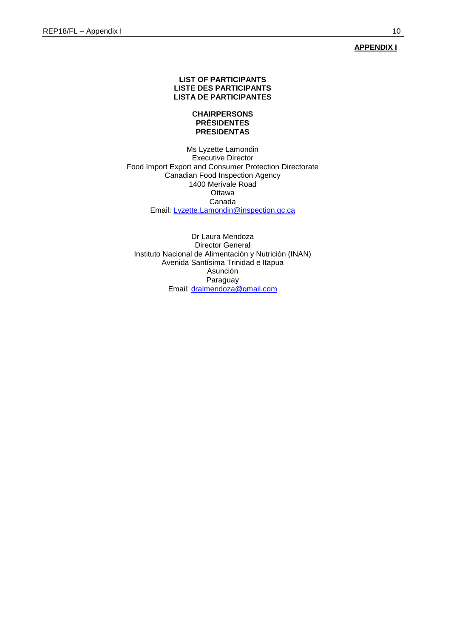## **APPENDIX I**

## **LIST OF PARTICIPANTS LISTE DES PARTICIPANTS LISTA DE PARTICIPANTES**

### **CHAIRPERSONS PRÉSIDENTES PRESIDENTAS**

Ms Lyzette Lamondin Executive Director Food Import Export and Consumer Protection Directorate Canadian Food Inspection Agency 1400 Merivale Road **Ottawa** Canada Email: [Lyzette.Lamondin@inspection.gc.ca](mailto:Lyzette.Lamondin@inspection.gc.ca)

Dr Laura Mendoza Director General Instituto Nacional de Alimentación y Nutrición (INAN) Avenida Santísima Trinidad e Itapua Asunción Paraguay Email: **dralmendoza@gmail.com**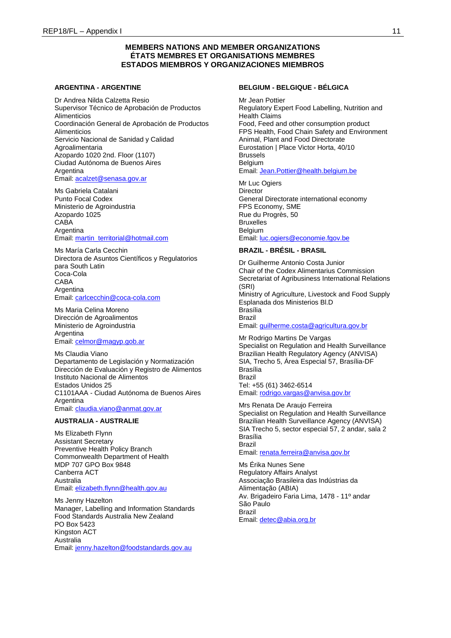### **MEMBERS NATIONS AND MEMBER ORGANIZATIONS ÉTATS MEMBRES ET ORGANISATIONS MEMBRES ESTADOS MIEMBROS Y ORGANIZACIONES MIEMBROS**

#### **ARGENTINA - ARGENTINE**

Dr Andrea Nilda Calzetta Resio Supervisor Técnico de Aprobación de Productos Alimenticios Coordinación General de Aprobación de Productos Alimenticios Servicio Nacional de Sanidad y Calidad Agroalimentaria Azopardo 1020 2nd. Floor (1107) Ciudad Autónoma de Buenos Aires Argentina Email[: acalzet@senasa.gov.ar](mailto:acalzet@senasa.gov.ar)

Ms Gabriela Catalani Punto Focal Codex Ministerio de Agroindustria Azopardo 1025 CABA **Argentina** Email[: martin\\_territorial@hotmail.com](mailto:martin_territorial@hotmail.com)

Ms María Carla Cecchin Directora de Asuntos Científicos y Regulatorios para South Latin Coca-Cola CABA Argentina Email[: carlcecchin@coca-cola.com](mailto:carlcecchin@coca-cola.com)

Ms Maria Celina Moreno Dirección de Agroalimentos Ministerio de Agroindustria Argentina Email[: celmor@magyp.gob.ar](mailto:celmor@magyp.gob.ar)

Ms Claudia Viano Departamento de Legislación y Normatización Dirección de Evaluación y Registro de Alimentos Instituto Nacional de Alimentos Estados Unidos 25 C1101AAA - Ciudad Autónoma de Buenos Aires **Argentina** Email[: claudia.viano@anmat.gov.ar](mailto:claudia.viano@anmat.gov.ar)

#### **AUSTRALIA - AUSTRALIE**

Ms Elizabeth Flynn Assistant Secretary Preventive Health Policy Branch Commonwealth Department of Health MDP 707 GPO Box 9848 Canberra ACT Australia Email[: elizabeth.flynn@health.gov.au](mailto:elizabeth.flynn@health.gov.au)

Ms Jenny Hazelton Manager, Labelling and Information Standards Food Standards Australia New Zealand PO Box 5423 Kingston ACT Australia Email[: jenny.hazelton@foodstandards.gov.au](mailto:jenny.hazelton@foodstandards.gov.au)

## **BELGIUM - BELGIQUE - BÉLGICA**

Mr Jean Pottier Regulatory Expert Food Labelling, Nutrition and Health Claims Food, Feed and other consumption product FPS Health, Food Chain Safety and Environment Animal, Plant and Food Directorate Eurostation | Place Victor Horta, 40/10 Brussels Belgium Email: [Jean.Pottier@health.belgium.be](mailto:Jean.Pottier@health.belgium.be)

# Mr Luc Ogiers

**Director** General Directorate international economy FPS Economy, SME Rue du Progrès, 50 Bruxelles **Belgium** Email: [luc.ogiers@economie.fgov.be](mailto:luc.ogiers@economie.fgov.be)

#### **BRAZIL - BRÉSIL - BRASIL**

Dr Guilherme Antonio Costa Junior Chair of the Codex Alimentarius Commission Secretariat of Agribusiness International Relations (SRI) Ministry of Agriculture, Livestock and Food Supply Esplanada dos Ministerios Bl.D Brasília Brazil Email: [guilherme.costa@agricultura.gov.br](mailto:guilherme.costa@agricultura.gov.br)

Mr Rodrigo Martins De Vargas Specialist on Regulation and Health Surveillance Brazilian Health Regulatory Agency (ANVISA) SIA, Trecho 5, Área Especial 57, Brasília-DF Brasília Brazil Tel: +55 (61) 3462-6514 Email: [rodrigo.vargas@anvisa.gov.br](mailto:rodrigo.vargas@anvisa.gov.br)

Mrs Renata De Araujo Ferreira Specialist on Regulation and Health Surveillance Brazilian Health Surveillance Agency (ANVISA) SIA Trecho 5, sector especial 57, 2 andar, sala 2 Brasília Brazil Email: [renata.ferreira@anvisa.gov.br](mailto:renata.ferreira@anvisa.gov.br)

Ms Érika Nunes Sene Regulatory Affairs Analyst Associação Brasileira das Indústrias da Alimentação (ABIA) Av. Brigadeiro Faria Lima, 1478 - 11º andar São Paulo Brazil Email: [detec@abia.org.br](mailto:detec@abia.org.br)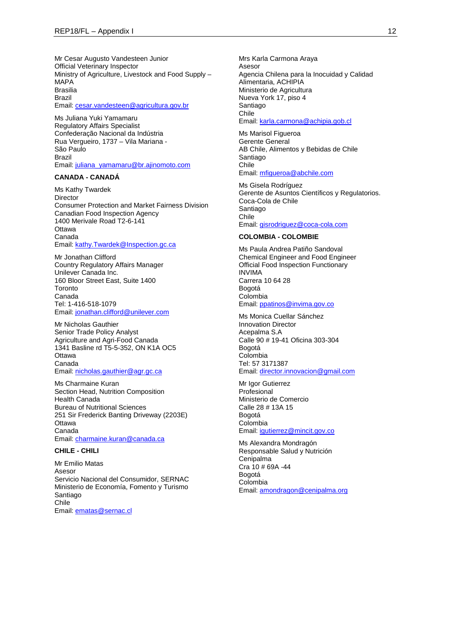Mr Cesar Augusto Vandesteen Junior Official Veterinary Inspector Ministry of Agriculture, Livestock and Food Supply – MAPA Brasilia Brazil Email[: cesar.vandesteen@agricultura.gov.br](mailto:cesar.vandesteen@agricultura.gov.br)

Ms Juliana Yuki Yamamaru Regulatory Affairs Specialist Confederação Nacional da Indústria Rua Vergueiro, 1737 – Vila Mariana - São Paulo Brazil Email[: juliana\\_yamamaru@br.ajinomoto.com](mailto:juliana_yamamaru@br.ajinomoto.com)

#### **CANADA - CANADÁ**

Ms Kathy Twardek Director Consumer Protection and Market Fairness Division Canadian Food Inspection Agency 1400 Merivale Road T2-6-141 Ottawa Canada Email[: kathy.Twardek@Inspection.gc.ca](mailto:kathy.Twardek@Inspection.gc.ca)

Mr Jonathan Clifford Country Regulatory Affairs Manager Unilever Canada Inc. 160 Bloor Street East, Suite 1400 **Toronto** Canada Tel: 1-416-518-1079 Email[: jonathan.clifford@unilever.com](mailto:jonathan.clifford@unilever.com)

Mr Nicholas Gauthier Senior Trade Policy Analyst Agriculture and Agri-Food Canada 1341 Basline rd T5-5-352, ON K1A OC5 **Ottawa** Canada Email[: nicholas.gauthier@agr.gc.ca](mailto:nicholas.gauthier@agr.gc.ca)

Ms Charmaine Kuran Section Head, Nutrition Composition Health Canada Bureau of Nutritional Sciences 251 Sir Frederick Banting Driveway (2203E) **Ottawa** Canada Email[: charmaine.kuran@canada.ca](mailto:charmaine.kuran@canada.ca)

### **CHILE - CHILI**

Mr Emilio Matas Asesor Servicio Nacional del Consumidor, SERNAC Ministerio de Economía, Fomento y Turismo Santiago Chile Email[: ematas@sernac.cl](mailto:ematas@sernac.cl)

Mrs Karla Carmona Araya Asesor Agencia Chilena para la Inocuidad y Calidad Alimentaria, ACHIPIA Ministerio de Agricultura Nueva York 17, piso 4 Santiago Chile Email: [karla.carmona@achipia.gob.cl](mailto:karla.carmona@achipia.gob.cl)

Ms Marisol Figueroa Gerente General AB Chile, Alimentos y Bebidas de Chile Santiago Chile Email: [mfigueroa@abchile.com](mailto:mfigueroa@abchile.com)

Ms Gisela Rodríguez Gerente de Asuntos Científicos y Regulatorios. Coca-Cola de Chile Santiago Chile Email: [gisrodriguez@coca-cola.com](mailto:gisrodriguez@coca-cola.com)

#### **COLOMBIA - COLOMBIE**

Ms Paula Andrea Patiño Sandoval Chemical Engineer and Food Engineer Official Food Inspection Functionary INVIMA Carrera 10 64 28 Bogotá Colombia Email: [ppatinos@invima.gov.co](mailto:ppatinos@invima.gov.co)

Ms Monica Cuellar Sánchez Innovation Director Acepalma S.A Calle 90 # 19-41 Oficina 303-304 Bogotá Colombia Tel: 57 3171387 Email: [director.innovacion@gmail.com](mailto:director.innovacion@gmail.com)

Mr Igor Gutierrez Profesional Ministerio de Comercio Calle 28 # 13A 15 Bogotá Colombia Email: [igutierrez@mincit.gov.co](mailto:igutierrez@mincit.gov.co)

Ms Alexandra Mondragón Responsable Salud y Nutrición Cenipalma Cra 10 # 69A -44 Bogotá Colombia Email: [amondragon@cenipalma.org](mailto:amondragon@cenipalma.org)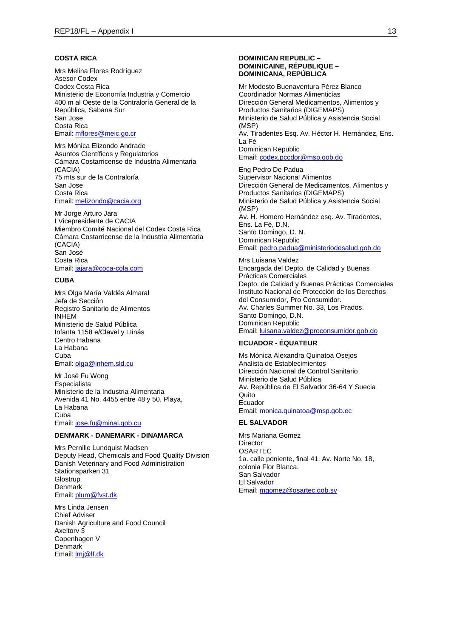### **COSTA RICA**

Mrs Melina Flores Rodríguez Asesor Codex Codex Costa Rica Ministerio de Economía Industria y Comercio 400 m al Oeste de la Contraloría General de la República, Sabana Sur San Jose Costa Rica Email[: mflores@meic.go.cr](mailto:mflores@meic.go.cr)

Mrs Mónica Elizondo Andrade Asuntos Científicos y Regulatorios Cámara Costarricense de Industria Alimentaria (CACIA) 75 mts sur de la Contraloría San Jose Costa Rica Email[: melizondo@cacia.org](mailto:melizondo@cacia.org)

Mr Jorge Arturo Jara I Vicepresidente de CACIA Miembro Comité Nacional del Codex Costa Rica Cámara Costarricense de la Industria Alimentaria (CACIA) San José Costa Rica Email[: jajara@coca-cola.com](mailto:jajara@coca-cola.com)

### **CUBA**

Mrs Olga María Valdés Almaral Jefa de Sección Registro Sanitario de Alimentos INHEM Ministerio de Salud Pública Infanta 1158 e/Clavel y LIinás Centro Habana La Habana Cuba Email[: olga@inhem.sld.cu](mailto:olga@inhem.sld.cu)

Mr José Fu Wong Especialista Ministerio de la Industria Alimentaria Avenida 41 No. 4455 entre 48 y 50, Playa, La Habana Cuba Email[: jose.fu@minal.gob.cu](mailto:jose.fu@minal.gob.cu)

#### **DENMARK - DANEMARK - DINAMARCA**

Mrs Pernille Lundquist Madsen Deputy Head, Chemicals and Food Quality Division Danish Veterinary and Food Administration Stationsparken 31 **Glostrup** Denmark Email[: plum@fvst.dk](mailto:plum@fvst.dk)

Mrs Linda Jensen Chief Adviser Danish Agriculture and Food Council Axeltorv 3 Copenhagen V Denmark Email[: lmj@lf.dk](mailto:lmj@lf.dk)

#### **DOMINICAN REPUBLIC – DOMINICAINE, RÉPUBLIQUE – DOMINICANA, REPÚBLICA**

Mr Modesto Buenaventura Pérez Blanco Coordinador Normas Alimenticias Dirección General Medicamentos, Alimentos y Productos Sanitarios (DIGEMAPS) Ministerio de Salud Pública y Asistencia Social (MSP) Av. Tiradentes Esq. Av. Héctor H. Hernández, Ens. La Fé Dominican Republic Email: [codex.pccdor@msp.gob.do](mailto:codex.pccdor@msp.gob.do)

Eng Pedro De Padua Supervisor Nacional Alimentos Dirección General de Medicamentos, Alimentos y Productos Sanitarios (DIGEMAPS) Ministerio de Salud Pública y Asistencia Social (MSP) Av. H. Homero Hernández esq. Av. Tiradentes, Ens. La Fé, D.N. Santo Domingo, D. N. Dominican Republic Email: [pedro.padua@ministeriodesalud.gob.do](mailto:pedro.padua@ministeriodesalud.gob.do)

Mrs Luisana Valdez Encargada del Depto. de Calidad y Buenas Prácticas Comerciales Depto. de Calidad y Buenas Prácticas Comerciales Instituto Nacional de Protección de los Derechos del Consumidor, Pro Consumidor. Av. Charles Summer No. 33, Los Prados. Santo Domingo, D.N. Dominican Republic Email: [luisana.valdez@proconsumidor.gob.do](mailto:luisana.valdez@proconsumidor.gob.do)

### **ECUADOR - ÉQUATEUR**

Ms Mónica Alexandra Quinatoa Osejos Analista de Establecimientos Dirección Nacional de Control Sanitario Ministerio de Salud Pública Av. República de El Salvador 36-64 Y Suecia Quito Ecuador Email: [monica.quinatoa@msp.gob.ec](mailto:monica.quinatoa@msp.gob.ec)

### **EL SALVADOR**

Mrs Mariana Gomez Director **OSARTEC** 1a. calle poniente, final 41, Av. Norte No. 18, colonia Flor Blanca. San Salvador El Salvador Email: [mgomez@osartec.gob.sv](mailto:mgomez@osartec.gob.sv)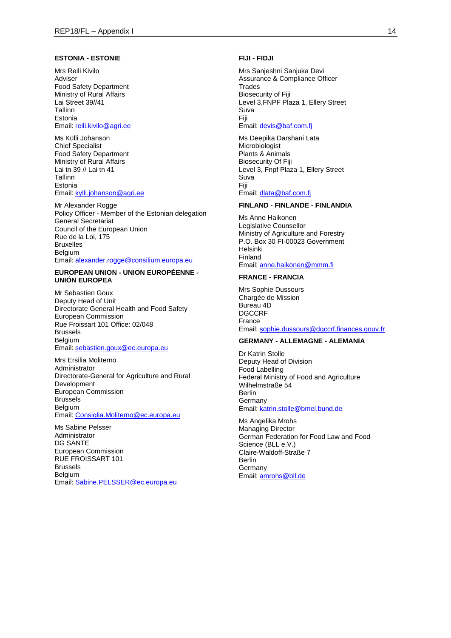#### **ESTONIA - ESTONIE**

Mrs Reili Kivilo Adviser Food Safety Department Ministry of Rural Affairs Lai Street 39//41 Tallinn Estonia Email[: reili.kivilo@agri.ee](mailto:reili.kivilo@agri.ee)

Ms Külli Johanson Chief Specialist Food Safety Department Ministry of Rural Affairs Lai tn 39 // Lai tn 41 Tallinn Estonia Email[: kylli.johanson@agri.ee](mailto:kylli.johanson@agri.ee)

Mr Alexander Rogge Policy Officer - Member of the Estonian delegation General Secretariat Council of the European Union Rue de la Loi, 175 Bruxelles Belgium Email[: alexander.rogge@consilium.europa.eu](mailto:alexander.rogge@consilium.europa.eu)

#### **EUROPEAN UNION - UNION EUROPÉENNE - UNIÓN EUROPEA**

Mr Sebastien Goux Deputy Head of Unit Directorate General Health and Food Safety European Commission Rue Froissart 101 Office: 02/048 Brussels Belgium Email[: sebastien.goux@ec.europa.eu](mailto:sebastien.goux@ec.europa.eu)

Mrs Ersilia Moliterno Administrator Directorate-General for Agriculture and Rural Development European Commission Brussels Belgium Email[: Consiglia.Moliterno@ec.europa.eu](mailto:Consiglia.Moliterno@ec.europa.eu)

Ms Sabine Pelsser Administrator DG SANTE European Commission RUE FROISSART 101 Brussels Belgium Email[: Sabine.PELSSER@ec.europa.eu](mailto:Sabine.PELSSER@ec.europa.eu)

#### **FIJI - FIDJI**

Mrs Sanjeshni Sanjuka Devi Assurance & Compliance Officer **Trades** Biosecurity of Fiji Level 3,FNPF Plaza 1, Ellery Street Suva Fiji Email: [devis@baf.com.fj](mailto:devis@baf.com.fj)

Ms Deepika Darshani Lata Microbiologist Plants & Animals Biosecurity Of Fiji Level 3, Fnpf Plaza 1, Ellery Street Suva Fiji Email: [dlata@baf.com.fj](mailto:dlata@baf.com.fj)

#### **FINLAND - FINLANDE - FINLANDIA**

Ms Anne Haikonen Legislative Counsellor Ministry of Agriculture and Forestry P.O. Box 30 FI-00023 Government Helsinki Finland Email: [anne.haikonen@mmm.fi](mailto:anne.haikonen@mmm.fi)

### **FRANCE - FRANCIA**

Mrs Sophie Dussours Chargée de Mission Bureau 4D DGCCRF France Email: [sophie.dussours@dgccrf.finances.gouv.fr](mailto:sophie.dussours@dgccrf.finances.gouv.fr)

### **GERMANY - ALLEMAGNE - ALEMANIA**

Dr Katrin Stolle Deputy Head of Division Food Labelling Federal Ministry of Food and Agriculture Wilhelmstraße 54 Berlin **Germany** Email: [katrin.stolle@bmel.bund.de](mailto:katrin.stolle@bmel.bund.de)

Ms Angelika Mrohs Managing Director German Federation for Food Law and Food Science (BLL e.V.) Claire-Waldoff-Straße 7 Berlin Germany Email: [amrohs@bll.de](mailto:amrohs@bll.de)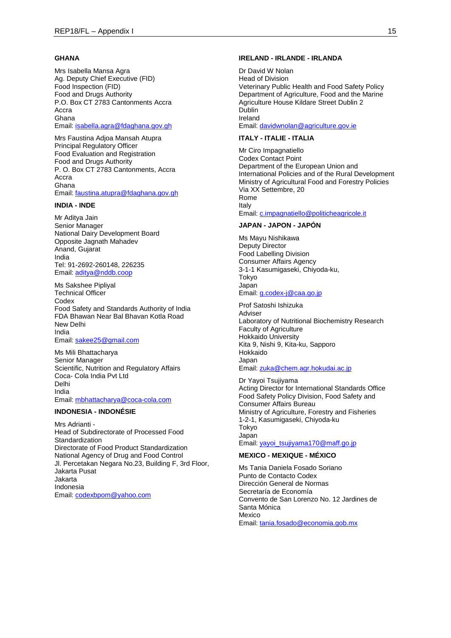### **GHANA**

Mrs Isabella Mansa Agra Ag. Deputy Chief Executive (FID) Food Inspection (FID) Food and Drugs Authority P.O. Box CT 2783 Cantonments Accra Accra Ghana Email[: isabella.agra@fdaghana.gov.gh](mailto:isabella.agra@fdaghana.gov.gh)

Mrs Faustina Adjoa Mansah Atupra Principal Regulatory Officer Food Evaluation and Registration Food and Drugs Authority P. O. Box CT 2783 Cantonments, Accra Accra Ghana Email[: faustina.atupra@fdaghana.gov.gh](mailto:faustina.atupra@fdaghana.gov.gh)

#### **INDIA - INDE**

Mr Aditya Jain Senior Manager National Dairy Development Board Opposite Jagnath Mahadev Anand, Gujarat India Tel: 91-2692-260148, 226235 Email[: aditya@nddb.coop](mailto:aditya@nddb.coop)

Ms Sakshee Pipliyal Technical Officer Codex Food Safety and Standards Authority of India FDA Bhawan Near Bal Bhavan Kotla Road New Delhi India Email[: sakee25@gmail.com](mailto:sakee25@gmail.com)

Ms Mili Bhattacharya Senior Manager Scientific, Nutrition and Regulatory Affairs Coca- Cola India Pvt Ltd Delhi India Email[: mbhattacharya@coca-cola.com](mailto:mbhattacharya@coca-cola.com)

#### **INDONESIA - INDONÉSIE**

Mrs Adrianti - Head of Subdirectorate of Processed Food **Standardization** Directorate of Food Product Standardization National Agency of Drug and Food Control Jl. Percetakan Negara No.23, Building F, 3rd Floor, Jakarta Pusat Jakarta Indonesia Email[: codexbpom@yahoo.com](mailto:codexbpom@yahoo.com)

#### **IRELAND - IRLANDE - IRLANDA**

Dr David W Nolan Head of Division Veterinary Public Health and Food Safety Policy Department of Agriculture, Food and the Marine Agriculture House Kildare Street Dublin 2 Dublin Ireland Email: [davidwnolan@agriculture.gov.ie](mailto:davidwnolan@agriculture.gov.ie)

### **ITALY - ITALIE - ITALIA**

Mr Ciro Impagnatiello Codex Contact Point Department of the European Union and International Policies and of the Rural Development Ministry of Agricultural Food and Forestry Policies Via XX Settembre, 20 Rome Italy Email: [c.impagnatiello@politicheagricole.it](mailto:c.impagnatiello@politicheagricole.it)

#### **JAPAN - JAPON - JAPÓN**

Ms Mayu Nishikawa Deputy Director Food Labelling Division Consumer Affairs Agency 3-1-1 Kasumigaseki, Chiyoda-ku, Tokyo Japan Email: [g.codex-j@caa.go.jp](mailto:g.codex-j@caa.go.jp)

Prof Satoshi Ishizuka Adviser Laboratory of Nutritional Biochemistry Research Faculty of Agriculture Hokkaido University Kita 9, Nishi 9, Kita-ku, Sapporo Hokkaido Japan Email: [zuka@chem.agr.hokudai.ac.jp](mailto:zuka@chem.agr.hokudai.ac.jp)

Dr Yayoi Tsujiyama Acting Director for International Standards Office Food Safety Policy Division, Food Safety and Consumer Affairs Bureau Ministry of Agriculture, Forestry and Fisheries 1-2-1, Kasumigaseki, Chiyoda-ku Tokyo Japan Email: [yayoi\\_tsujiyama170@maff.go.jp](mailto:yayoi_tsujiyama170@maff.go.jp)

#### **MEXICO - MEXIQUE - MÉXICO**

Ms Tania Daniela Fosado Soriano Punto de Contacto Codex Dirección General de Normas Secretaría de Economía Convento de San Lorenzo No. 12 Jardines de Santa Mónica Mexico Email: [tania.fosado@economia.gob.mx](mailto:tania.fosado@economia.gob.mx)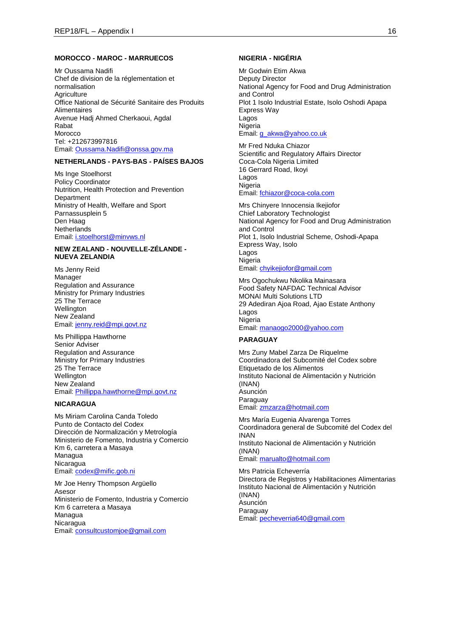#### **MOROCCO - MAROC - MARRUECOS**

Mr Oussama Nadifi Chef de division de la réglementation et normalisation **Agriculture** Office National de Sécurité Sanitaire des Produits Alimentaires Avenue Hadj Ahmed Cherkaoui, Agdal Rabat Morocco Tel: +212673997816 Email[: Oussama.Nadifi@onssa.gov.ma](mailto:Oussama.Nadifi@onssa.gov.ma)

### **NETHERLANDS - PAYS-BAS - PAÍSES BAJOS**

Ms Inge Stoelhorst Policy Coordinator Nutrition, Health Protection and Prevention **Department** Ministry of Health, Welfare and Sport Parnassusplein 5 Den Haag **Netherlands** Email[: i.stoelhorst@minvws.nl](mailto:i.stoelhorst@minvws.nl)

#### **NEW ZEALAND - NOUVELLE-ZÉLANDE - NUEVA ZELANDIA**

Ms Jenny Reid Manager Regulation and Assurance Ministry for Primary Industries 25 The Terrace Wellington New Zealand Email[: jenny.reid@mpi.govt.nz](mailto:jenny.reid@mpi.govt.nz)

Ms Phillippa Hawthorne Senior Adviser Regulation and Assurance Ministry for Primary Industries 25 The Terrace Wellington New Zealand Email[: Phillippa.hawthorne@mpi.govt.nz](mailto:Phillippa.hawthorne@mpi.govt.nz)

### **NICARAGUA**

Ms Miriam Carolina Canda Toledo Punto de Contacto del Codex Dirección de Normalización y Metrología Ministerio de Fomento, Industria y Comercio Km 6, carretera a Masaya Managua Nicaragua Email[: codex@mific.gob.ni](mailto:codex@mific.gob.ni)

Mr Joe Henry Thompson Argüello Asesor Ministerio de Fomento, Industria y Comercio Km 6 carretera a Masaya Managua Nicaragua Email[: consultcustomjoe@gmail.com](mailto:consultcustomjoe@gmail.com)

### **NIGERIA - NIGÉRIA**

Mr Godwin Etim Akwa Deputy Director National Agency for Food and Drug Administration and Control Plot 1 Isolo Industrial Estate, Isolo Oshodi Apapa Express Way Lagos Nigeria Email: [g\\_akwa@yahoo.co.uk](mailto:g_akwa@yahoo.co.uk)

Mr Fred Nduka Chiazor Scientific and Regulatory Affairs Director Coca-Cola Nigeria Limited 16 Gerrard Road, Ikoyi Lagos **Nigeria** Email: [fchiazor@coca-cola.com](mailto:fchiazor@coca-cola.com)

Mrs Chinyere Innocensia Ikejiofor Chief Laboratory Technologist National Agency for Food and Drug Administration and Control Plot 1, Isolo Industrial Scheme, Oshodi-Apapa Express Way, Isolo Lagos Nigeria Email: [chyikejiofor@gmail.com](mailto:chyikejiofor@gmail.com)

Mrs Ogochukwu Nkolika Mainasara Food Safety NAFDAC Technical Advisor MONAI Multi Solutions LTD 29 Adediran Ajoa Road, Ajao Estate Anthony Lagos Nigeria Email: [manaogo2000@yahoo.com](mailto:manaogo2000@yahoo.com)

## **PARAGUAY**

Mrs Zuny Mabel Zarza De Riquelme Coordinadora del Subcomité del Codex sobre Etiquetado de los Alimentos Instituto Nacional de Alimentación y Nutrición (INAN) Asunción Paraguay Email: [zmzarza@hotmail.com](mailto:zmzarza@hotmail.com)

Mrs María Eugenia Alvarenga Torres Coordinadora general de Subcomité del Codex del INAN Instituto Nacional de Alimentación y Nutrición (INAN) Email: [marualto@hotmail.com](mailto:marualto@hotmail.com)

Mrs Patricia Echeverría Directora de Registros y Habilitaciones Alimentarias Instituto Nacional de Alimentación y Nutrición (INAN) Asunción Paraguay Email: [pecheverria640@gmail.com](mailto:pecheverria640@gmail.com)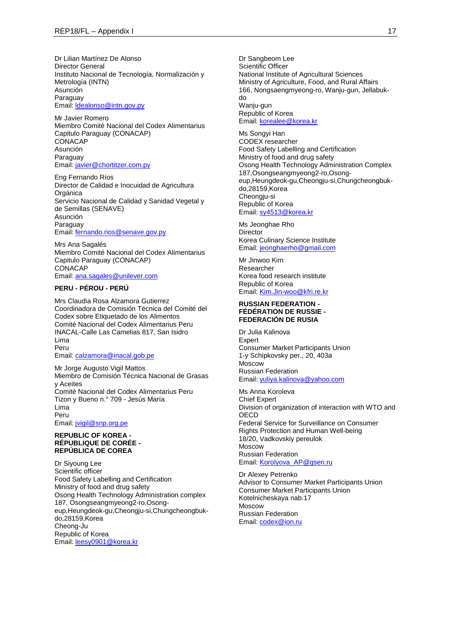Dr Lilian Martínez De Alonso Director General Instituto Nacional de Tecnología, Normalización y Metrología (INTN) Asunción Paraguay Email[: ldealonso@intn.gov.py](mailto:ldealonso@intn.gov.py)

Mr Javier Romero Miembro Comité Nacional del Codex Alimentarius Capitulo Paraguay (CONACAP) CONACAP Asunción Paraguay Email[: javier@chortitzer.com.py](mailto:javier@chortitzer.com.py)

Eng Fernando Ríos Director de Calidad e Inocuidad de Agricultura Orgánica Servicio Nacional de Calidad y Sanidad Vegetal y de Semillas (SENAVE) Asunción **Paraguay** Email[: fernando.rios@senave.gov.py](mailto:fernando.rios@senave.gov.py)

Mrs Ana Sagalés Miembro Comité Nacional del Codex Alimentarius Capitulo Paraguay (CONACAP) **CONACAP** Email[: ana.sagales@unilever.com](mailto:ana.sagales@unilever.com)

## **PERU - PÉROU - PERÚ**

Mrs Claudia Rosa Alzamora Gutierrez Coordinadora de Comisión Técnica del Comité del Codex sobre Etiquetado de los Alimentos Comité Nacional del Codex Alimentarius Peru INACAL-Calle Las Camelias 817, San Isidro Lima Peru Email[: calzamora@inacal.gob.pe](mailto:calzamora@inacal.gob.pe)

Mr Jorge Augusto Vigil Mattos Miembro de Comisión Técnica Nacional de Grasas y Aceites Comité Nacional del Codex Alimentarius Peru Tizon y Bueno n.° 709 - Jesús María Lima Peru Email[: jvigil@snp.org.pe](mailto:jvigil@snp.org.pe)

#### **REPUBLIC OF KOREA - RÉPUBLIQUE DE CORÉE - REPÚBLICA DE COREA**

Dr Siyoung Lee Scientific officer Food Safety Labelling and Certification Ministry of food and drug safety Osong Health Technology Administration complex 187, Osongseangmyeong2-ro,Osongeup,Heungdeok-gu,Cheongju-si,Chungcheongbukdo,28159,Korea Cheong-Ju Republic of Korea Email[: leesy0901@korea.kr](mailto:leesy0901@korea.kr)

Dr Sangbeom Lee Scientific Officer National Institute of Agricultural Sciences Ministry of Agriculture, Food, and Rural Affairs 166, Nongsaengmyeong-ro, Wanju-gun, Jellabukdo Wanju-gun Republic of Korea Email: [korealee@korea.kr](mailto:korealee@korea.kr)

Ms Songyi Han CODEX researcher Food Safety Labelling and Certification Ministry of food and drug safety Osong Health Technology Administration Complex 187,Osongseangmyeong2-ro,Osongeup,Heungdeok-gu,Cheongju-si,Chungcheongbukdo,28159,Korea Cheongju-si Republic of Korea Email: [sy4513@korea.kr](mailto:sy4513@korea.kr)

Ms Jeonghae Rho **Director** Korea Culinary Science Institute Email: [jeonghaerho@gmail.com](mailto:jeonghaerho@gmail.com)

Mr Jinwoo Kim Researcher Korea food research institute Republic of Korea Email: [Kim.Jin-woo@kfri.re.kr](mailto:Kim.Jin-woo@kfri.re.kr)

#### **RUSSIAN FEDERATION - FÉDÉRATION DE RUSSIE - FEDERACIÓN DE RUSIA**

Dr Julia Kalinova Expert Consumer Market Participants Union 1-y Schipkovsky per., 20, 403а Moscow Russian Federation Email: [yuliya.kalinova@yahoo.com](mailto:yuliya.kalinova@yahoo.com)

Ms Anna Koroleva Chief Expert Division of organization of interaction with WTO and **OECD** Federal Service for Surveillance on Consumer Rights Protection and Human Well-being 18/20, Vadkovskiy pereulok Moscow Russian Federation Email: [Korolyova\\_AP@gsen.ru](mailto:Korolyova_AP@gsen.ru)

Dr Alexey Petrenko Advisor to Consumer Market Participants Union Consumer Market Participants Union Kotelnicheskaya nab.17 Moscow Russian Federation Email: [codex@ion.ru](mailto:codex@ion.ru)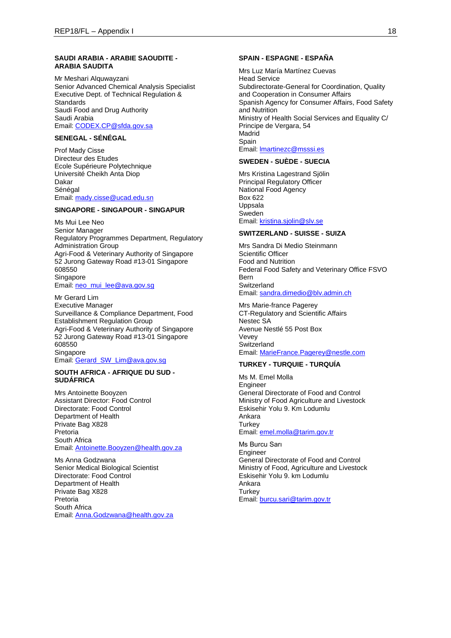#### **SAUDI ARABIA - ARABIE SAOUDITE - ARABIA SAUDITA**

Mr Meshari Alquwayzani Senior Advanced Chemical Analysis Specialist Executive Dept. of Technical Regulation & **Standards** Saudi Food and Drug Authority Saudi Arabia Email[: CODEX.CP@sfda.gov.sa](mailto:CODEX.CP@sfda.gov.sa)

## **SENEGAL - SÉNÉGAL**

Prof Mady Cisse Directeur des Etudes Ecole Supérieure Polytechnique Université Cheikh Anta Diop Dakar Sénégal Email[: mady.cisse@ucad.edu.sn](mailto:mady.cisse@ucad.edu.sn)

#### **SINGAPORE - SINGAPOUR - SINGAPUR**

Ms Mui Lee Neo Senior Manager Regulatory Programmes Department, Regulatory Administration Group Agri-Food & Veterinary Authority of Singapore 52 Jurong Gateway Road #13-01 Singapore 608550 **Singapore** Email[: neo\\_mui\\_lee@ava.gov.sg](mailto:neo_mui_lee@ava.gov.sg)

Mr Gerard Lim Executive Manager Surveillance & Compliance Department, Food Establishment Regulation Group Agri-Food & Veterinary Authority of Singapore 52 Jurong Gateway Road #13-01 Singapore 608550 Singapore Email[: Gerard\\_SW\\_Lim@ava.gov.sg](mailto:Gerard_SW_Lim@ava.gov.sg)

#### **SOUTH AFRICA - AFRIQUE DU SUD - SUDÁFRICA**

Mrs Antoinette Booyzen Assistant Director: Food Control Directorate: Food Control Department of Health Private Bag X828 Pretoria South Africa Email[: Antoinette.Booyzen@health.gov.za](mailto:Antoinette.Booyzen@health.gov.za)

Ms Anna Godzwana Senior Medical Biological Scientist Directorate: Food Control Department of Health Private Bag X828 Pretoria South Africa Email[: Anna.Godzwana@health.gov.za](mailto:Anna.Godzwana@health.gov.za)

#### **SPAIN - ESPAGNE - ESPAÑA**

Mrs Luz María Martínez Cuevas Head Service Subdirectorate-General for Coordination, Quality and Cooperation in Consumer Affairs Spanish Agency for Consumer Affairs, Food Safety and Nutrition Ministry of Health Social Services and Equality C/ Principe de Vergara, 54 Madrid Spain Email: [lmartinezc@msssi.es](mailto:lmartinezc@msssi.es)

#### **SWEDEN - SUÈDE - SUECIA**

Mrs Kristina Lagestrand Sjölin Principal Regulatory Officer National Food Agency Box 622 Uppsala Sweden Email: [kristina.sjolin@slv.se](mailto:kristina.sjolin@slv.se)

### **SWITZERLAND - SUISSE - SUIZA**

Mrs Sandra Di Medio Steinmann Scientific Officer Food and Nutrition Federal Food Safety and Veterinary Office FSVO Bern **Switzerland** Email: [sandra.dimedio@blv.admin.ch](mailto:sandra.dimedio@blv.admin.ch)

Mrs Marie-france Pagerey CT-Regulatory and Scientific Affairs Nestec SA Avenue Nestlé 55 Post Box Vevey **Switzerland** Email: [MarieFrance.Pagerey@nestle.com](mailto:MarieFrance.Pagerey@nestle.com)

### **TURKEY - TURQUIE - TURQUÍA**

Ms M. Emel Molla Engineer General Directorate of Food and Control Ministry of Food Agriculture and Livestock Eskisehir Yolu 9. Km Lodumlu Ankara **Turkey** Email: [emel.molla@tarim.gov.tr](mailto:emel.molla@tarim.gov.tr)

Ms Burcu Sarı Engineer General Directorate of Food and Control Ministry of Food, Agriculture and Livestock Eskisehir Yolu 9. km Lodumlu Ankara **Turkey** Email: [burcu.sari@tarim.gov.tr](mailto:burcu.sari@tarim.gov.tr)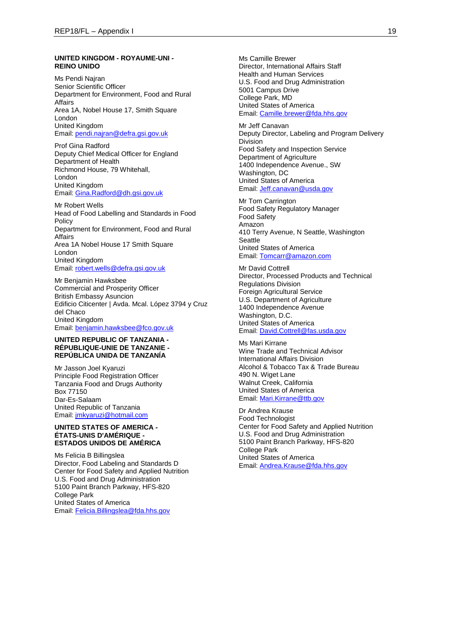#### **UNITED KINGDOM - ROYAUME-UNI - REINO UNIDO**

Ms Pendi Najran Senior Scientific Officer Department for Environment, Food and Rural Affairs Area 1A, Nobel House 17, Smith Square London United Kingdom Email[: pendi.najran@defra.gsi.gov.uk](mailto:pendi.najran@defra.gsi.gov.uk)

Prof Gina Radford Deputy Chief Medical Officer for England Department of Health Richmond House, 79 Whitehall, London United Kingdom Email[: Gina.Radford@dh.gsi.gov.uk](mailto:Gina.Radford@dh.gsi.gov.uk)

Mr Robert Wells Head of Food Labelling and Standards in Food Policy Department for Environment, Food and Rural **Affairs** Area 1A Nobel House 17 Smith Square London United Kingdom Email[: robert.wells@defra.gsi.gov.uk](mailto:robert.wells@defra.gsi.gov.uk)

Mr Benjamin Hawksbee Commercial and Prosperity Officer British Embassy Asuncion Edificio Citicenter | Avda. Mcal. López 3794 y Cruz del Chaco United Kingdom Email[: benjamin.hawksbee@fco.gov.uk](mailto:benjamin.hawksbee@fco.gov.uk)

### **UNITED REPUBLIC OF TANZANIA - RÉPUBLIQUE-UNIE DE TANZANIE - REPÚBLICA UNIDA DE TANZANÍA**

Mr Jasson Joel Kyaruzi Principle Food Registration Officer Tanzania Food and Drugs Authority Box 77150 Dar-Es-Salaam United Republic of Tanzania Email[: jmkyaruzi@hotmail.com](mailto:jmkyaruzi@hotmail.com)

#### **UNITED STATES OF AMERICA - ÉTATS-UNIS D'AMÉRIQUE - ESTADOS UNIDOS DE AMÉRICA**

Ms Felicia B Billingslea Director, Food Labeling and Standards D Center for Food Safety and Applied Nutrition U.S. Food and Drug Administration 5100 Paint Branch Parkway, HFS-820 College Park United States of America Email[: Felicia.Billingslea@fda.hhs.gov](mailto:Felicia.Billingslea@fda.hhs.gov)

Ms Camille Brewer Director, International Affairs Staff Health and Human Services U.S. Food and Drug Administration 5001 Campus Drive College Park, MD United States of America Email: [Camille.brewer@fda.hhs.gov](mailto:Camille.brewer@fda.hhs.gov)

Mr Jeff Canavan Deputy Director, Labeling and Program Delivery Division Food Safety and Inspection Service Department of Agriculture 1400 Independence Avenue., SW Washington, DC United States of America Email: [Jeff.canavan@usda.gov](mailto:Jeff.canavan@usda.gov)

Mr Tom Carrington Food Safety Regulatory Manager Food Safety Amazon 410 Terry Avenue, N Seattle, Washington **Seattle** United States of America Email: [Tomcarr@amazon.com](mailto:Tomcarr@amazon.com)

Mr David Cottrell Director, Processed Products and Technical Regulations Division Foreign Agricultural Service U.S. Department of Agriculture 1400 Independence Avenue Washington, D.C. United States of America Email: [David.Cottrell@fas.usda.gov](mailto:David.Cottrell@fas.usda.gov)

### Ms Mari Kirrane

Wine Trade and Technical Advisor International Affairs Division Alcohol & Tobacco Tax & Trade Bureau 490 N. Wiget Lane Walnut Creek, California United States of America Email: [Mari.Kirrane@ttb.gov](mailto:Mari.Kirrane@ttb.gov)

Dr Andrea Krause Food Technologist Center for Food Safety and Applied Nutrition U.S. Food and Drug Administration 5100 Paint Branch Parkway, HFS-820 College Park United States of America Email: [Andrea.Krause@fda.hhs.gov](mailto:Andrea.Krause@fda.hhs.gov)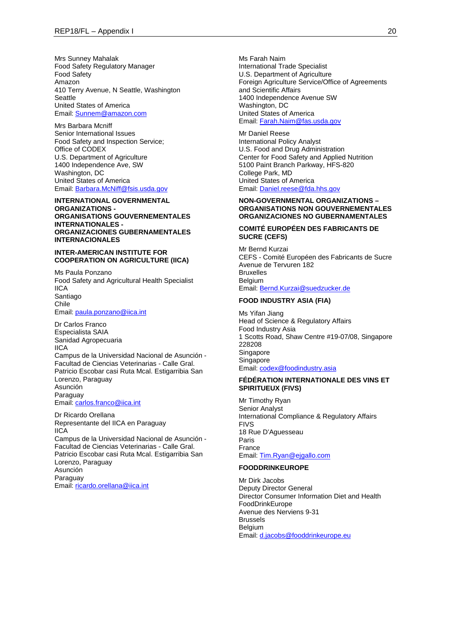Mrs Sunney Mahalak Food Safety Regulatory Manager Food Safety Amazon 410 Terry Avenue, N Seattle, Washington **Seattle** United States of America Email[: Sunnem@amazon.com](mailto:Sunnem@amazon.com)

Mrs Barbara Mcniff Senior International Issues Food Safety and Inspection Service; Office of CODEX U.S. Department of Agriculture 1400 Independence Ave, SW Washington, DC United States of America Email[: Barbara.McNiff@fsis.usda.gov](mailto:Barbara.McNiff@fsis.usda.gov)

#### **INTERNATIONAL GOVERNMENTAL ORGANIZATIONS - ORGANISATIONS GOUVERNEMENTALES INTERNATIONALES - ORGANIZACIONES GUBERNAMENTALES INTERNACIONALES**

### **INTER-AMERICAN INSTITUTE FOR COOPERATION ON AGRICULTURE (IICA)**

Ms Paula Ponzano Food Safety and Agricultural Health Specialist IICA Santiago Chile Email[: paula.ponzano@iica.int](mailto:paula.ponzano@iica.int)

Dr Carlos Franco Especialista SAIA Sanidad Agropecuaria IICA Campus de la Universidad Nacional de Asunción - Facultad de Ciencias Veterinarias - Calle Gral. Patricio Escobar casi Ruta Mcal. Estigarribia San Lorenzo, Paraguay Asunción **Paraguay** Email[: carlos.franco@iica.int](mailto:carlos.franco@iica.int)

Dr Ricardo Orellana Representante del IICA en Paraguay IICA Campus de la Universidad Nacional de Asunción - Facultad de Ciencias Veterinarias - Calle Gral. Patricio Escobar casi Ruta Mcal. Estigarribia San Lorenzo, Paraguay Asunción Paraguay Email[: ricardo.orellana@iica.int](mailto:ricardo.orellana@iica.int)

Ms Farah Naim International Trade Specialist U.S. Department of Agriculture Foreign Agriculture Service/Office of Agreements and Scientific Affairs 1400 Independence Avenue SW Washington, DC United States of America Email: [Farah.Naim@fas.usda.gov](mailto:Farah.Naim@fas.usda.gov)

Mr Daniel Reese International Policy Analyst U.S. Food and Drug Administration Center for Food Safety and Applied Nutrition 5100 Paint Branch Parkway, HFS-820 College Park, MD United States of America Email: [Daniel.reese@fda.hhs.gov](mailto:Daniel.reese@fda.hhs.gov)

#### **NON-GOVERNMENTAL ORGANIZATIONS – ORGANISATIONS NON GOUVERNEMENTALES ORGANIZACIONES NO GUBERNAMENTALES**

### **COMITÉ EUROPÉEN DES FABRICANTS DE SUCRE (CEFS)**

Mr Bernd Kurzai CEFS - Comité Européen des Fabricants de Sucre Avenue de Tervuren 182 Bruxelles Belgium Email: [Bernd.Kurzai@suedzucker.de](mailto:Bernd.Kurzai@suedzucker.de)

#### **FOOD INDUSTRY ASIA (FIA)**

Ms Yifan Jiang Head of Science & Regulatory Affairs Food Industry Asia 1 Scotts Road, Shaw Centre #19-07/08, Singapore 228208 Singapore **Singapore** Email: [codex@foodindustry.asia](mailto:codex@foodindustry.asia)

#### **FÉDÉRATION INTERNATIONALE DES VINS ET SPIRITUEUX (FIVS)**

Mr Timothy Ryan Senior Analyst International Compliance & Regulatory Affairs **FIVS** 18 Rue D'Aguesseau Paris France Email: [Tim.Ryan@ejgallo.com](mailto:Tim.Ryan@ejgallo.com)

### **FOODDRINKEUROPE**

Mr Dirk Jacobs Deputy Director General Director Consumer Information Diet and Health FoodDrinkEurope Avenue des Nerviens 9-31 Brussels **Belgium** Email: [d.jacobs@fooddrinkeurope.eu](mailto:d.jacobs@fooddrinkeurope.eu)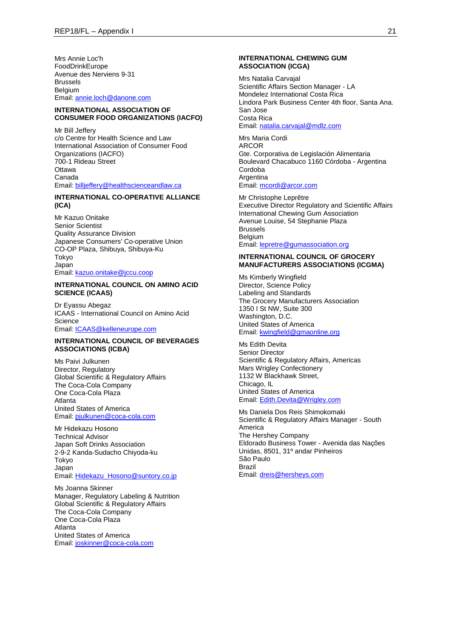Mrs Annie Loc'h FoodDrinkEurope Avenue des Nerviens 9-31 Brussels Belgium Email[: annie.loch@danone.com](mailto:annie.loch@danone.com)

#### **INTERNATIONAL ASSOCIATION OF CONSUMER FOOD ORGANIZATIONS (IACFO)**

Mr Bill Jeffery c/o Centre for Health Science and Law International Association of Consumer Food Organizations (IACFO) 700-1 Rideau Street **Ottawa** Canada Email[: billjeffery@healthscienceandlaw.ca](mailto:billjeffery@healthscienceandlaw.ca)

### **INTERNATIONAL CO-OPERATIVE ALLIANCE (ICA)**

Mr Kazuo Onitake Senior Scientist Quality Assurance Division Japanese Consumers' Co-operative Union CO-OP Plaza, Shibuya, Shibuya-Ku Tokyo Japan Email[: kazuo.onitake@jccu.coop](mailto:kazuo.onitake@jccu.coop)

#### **INTERNATIONAL COUNCIL ON AMINO ACID SCIENCE (ICAAS)**

Dr Eyassu Abegaz ICAAS - International Council on Amino Acid **Science** Email[: ICAAS@kelleneurope.com](mailto:ICAAS@kelleneurope.com)

#### **INTERNATIONAL COUNCIL OF BEVERAGES ASSOCIATIONS (ICBA)**

Ms Paivi Julkunen Director, Regulatory Global Scientific & Regulatory Affairs The Coca-Cola Company One Coca-Cola Plaza Atlanta United States of America Email[: pjulkunen@coca-cola.com](mailto:pjulkunen@coca-cola.com)

Mr Hidekazu Hosono Technical Advisor Japan Soft Drinks Association 2-9-2 Kanda-Sudacho Chiyoda-ku Tokyo Japan Email[: Hidekazu\\_Hosono@suntory.co.jp](mailto:Hidekazu_Hosono@suntory.co.jp)

Ms Joanna Skinner Manager, Regulatory Labeling & Nutrition Global Scientific & Regulatory Affairs The Coca-Cola Company One Coca-Cola Plaza Atlanta United States of America Email[: joskinner@coca-cola.com](mailto:joskinner@coca-cola.com)

#### **INTERNATIONAL CHEWING GUM ASSOCIATION (ICGA)**

Mrs Natalia Carvajal Scientific Affairs Section Manager - LA Mondelez International Costa Rica Lindora Park Business Center 4th floor, Santa Ana. San Jose Costa Rica Email: [natalia.carvajal@mdlz.com](mailto:natalia.carvajal@mdlz.com)

Mrs Maria Cordi ARCOR Gte. Corporativa de Legislación Alimentaria Boulevard Chacabuco 1160 Córdoba - Argentina Cordoba **Argentina** Email: [mcordi@arcor.com](mailto:mcordi@arcor.com)

Mr Christophe Leprêtre Executive Director Regulatory and Scientific Affairs International Chewing Gum Association Avenue Louise, 54 Stephanie Plaza Brussels Belgium Email: [lepretre@gumassociation.org](mailto:lepretre@gumassociation.org)

### **INTERNATIONAL COUNCIL OF GROCERY MANUFACTURERS ASSOCIATIONS (ICGMA)**

Ms Kimberly Wingfield Director, Science Policy Labeling and Standards The Grocery Manufacturers Association 1350 I St NW, Suite 300 Washington, D.C. United States of America Email: [kwingfield@gmaonline.org](mailto:kwingfield@gmaonline.org)

Ms Edith Devita Senior Director Scientific & Regulatory Affairs, Americas Mars Wrigley Confectionery 1132 W Blackhawk Street, Chicago, IL United States of America Email: [Edith.Devita@Wrigley.com](mailto:Edith.Devita@Wrigley.com)

Ms Daniela Dos Reis Shimokomaki Scientific & Regulatory Affairs Manager - South America The Hershey Company Eldorado Business Tower - Avenida das Nações Unidas, 8501, 31º andar Pinheiros São Paulo Brazil Email: [dreis@hersheys.com](mailto:dreis@hersheys.com)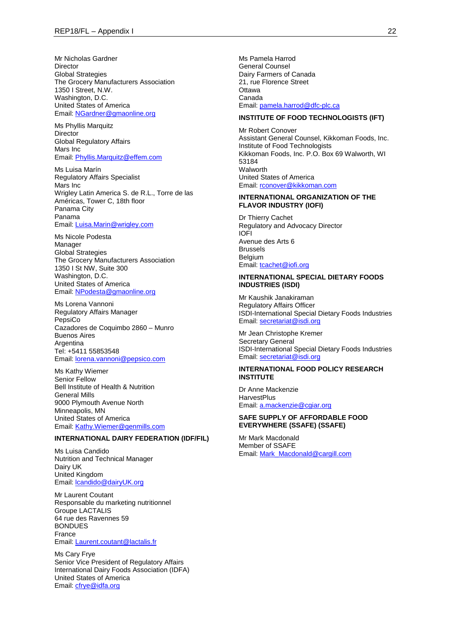Mr Nicholas Gardner **Director** Global Strategies The Grocery Manufacturers Association 1350 I Street, N.W. Washington, D.C. United States of America Email[: NGardner@gmaonline.org](mailto:NGardner@gmaonline.org)

Ms Phyllis Marquitz Director Global Regulatory Affairs Mars Inc Email[: Phyllis.Marquitz@effem.com](mailto:Phyllis.Marquitz@effem.com)

Ms Luisa Marín Regulatory Affairs Specialist Mars Inc Wrigley Latin America S. de R.L., Torre de las Américas, Tower C, 18th floor Panama City Panama Email[: Luisa.Marin@wrigley.com](mailto:Luisa.Marin@wrigley.com)

Ms Nicole Podesta Manager Global Strategies The Grocery Manufacturers Association 1350 I St NW, Suite 300 Washington, D.C. United States of America Email[: NPodesta@gmaonline.org](mailto:NPodesta@gmaonline.org)

Ms Lorena Vannoni Regulatory Affairs Manager PepsiCo Cazadores de Coquimbo 2860 – Munro Buenos Aires Argentina Tel: +5411 55853548 Email[: lorena.vannoni@pepsico.com](mailto:lorena.vannoni@pepsico.com)

Ms Kathy Wiemer Senior Fellow Bell Institute of Health & Nutrition General Mills 9000 Plymouth Avenue North Minneapolis, MN United States of America Email[: Kathy.Wiemer@genmills.com](mailto:Kathy.Wiemer@genmills.com)

#### **INTERNATIONAL DAIRY FEDERATION (IDF/FIL)**

Ms Luisa Candido Nutrition and Technical Manager Dairy UK United Kingdom Email[: lcandido@dairyUK.org](mailto:lcandido@dairyUK.org)

Mr Laurent Coutant Responsable du marketing nutritionnel Groupe LACTALIS 64 rue des Ravennes 59 BONDUES France Email[: Laurent.coutant@lactalis.fr](mailto:Laurent.coutant@lactalis.fr)

Ms Cary Frye Senior Vice President of Regulatory Affairs International Dairy Foods Association (IDFA) United States of America Email[: cfrye@idfa.org](mailto:cfrye@idfa.org)

Ms Pamela Harrod General Counsel Dairy Farmers of Canada 21, rue Florence Street **Ottawa** Canada Email: [pamela.harrod@dfc-plc.ca](mailto:pamela.harrod@dfc-plc.ca)

#### **INSTITUTE OF FOOD TECHNOLOGISTS (IFT)**

Mr Robert Conover Assistant General Counsel, Kikkoman Foods, Inc. Institute of Food Technologists Kikkoman Foods, Inc. P.O. Box 69 Walworth, WI 53184 Walworth United States of America Email: [rconover@kikkoman.com](mailto:rconover@kikkoman.com)

#### **INTERNATIONAL ORGANIZATION OF THE FLAVOR INDUSTRY (IOFI)**

Dr Thierry Cachet Regulatory and Advocacy Director IOFI Avenue des Arts 6 Brussels Belgium Email: [tcachet@iofi.org](mailto:tcachet@iofi.org)

#### **INTERNATIONAL SPECIAL DIETARY FOODS INDUSTRIES (ISDI)**

Mr Kaushik Janakiraman Regulatory Affairs Officer ISDI-International Special Dietary Foods Industries Email: [secretariat@isdi.org](mailto:secretariat@isdi.org)

Mr Jean Christophe Kremer Secretary General ISDI-International Special Dietary Foods Industries Email: [secretariat@isdi.org](mailto:secretariat@isdi.org)

#### **INTERNATIONAL FOOD POLICY RESEARCH INSTITUTE**

Dr Anne Mackenzie **HarvestPlus** Email: [a.mackenzie@cgiar.org](mailto:a.mackenzie@cgiar.org)

#### **SAFE SUPPLY OF AFFORDABLE FOOD EVERYWHERE (SSAFE) (SSAFE)**

Mr Mark Macdonald Member of SSAFE Email: [Mark\\_Macdonald@cargill.com](mailto:Mark_Macdonald@cargill.com)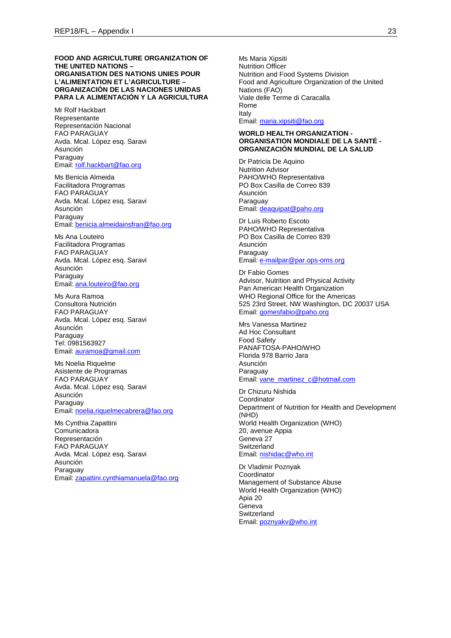#### **FOOD AND AGRICULTURE ORGANIZATION OF THE UNITED NATIONS – ORGANISATION DES NATIONS UNIES POUR L'ALIMENTATION ET L'AGRICULTURE – ORGANIZACIÓN DE LAS NACIONES UNIDAS PARA LA ALIMENTACIÓN Y LA AGRICULTURA**

Mr Rolf Hackbart Representante Representación Nacional FAO PARAGUAY Avda. Mcal. López esq. Saravi Asunción Paraguay Email[: rolf.hackbart@fao.org](mailto:rolf.hackbart@fao.org)

Ms Benicia Almeida Facilitadora Programas FAO PARAGUAY Avda. Mcal. López esq. Saravi Asunción Paraguay Email[: benicia.almeidainsfran@fao.org](mailto:benicia.almeidainsfran@fao.org)

Ms Ana Louteiro Facilitadora Programas FAO PARAGUAY Avda. Mcal. López esq. Saravi Asunción Paraguay Email[: ana.louteiro@fao.org](mailto:ana.louteiro@fao.org)

Ms Aura Ramoa Consultora Nutrición FAO PARAGUAY Avda. Mcal. López esq. Saravi Asunción Paraguay Tel: 0981563927 Email[: auramoa@gmail.com](mailto:auramoa@gmail.com)

Ms Noelia Riquelme Asistente de Programas FAO PARAGUAY Avda. Mcal. López esq. Saravi Asunción Paraguay Email[: noelia.riquelmecabrera@fao.org](mailto:noelia.riquelmecabrera@fao.org)

Ms Cynthia Zapattini Comunicadora Representación FAO PARAGUAY Avda. Mcal. López esq. Saravi Asunción **Paraguay** Email[: zapattini.cynthiamanuela@fao.org](mailto:zapattini.cynthiamanuela@fao.org) Ms Maria Xipsiti Nutrition Officer Nutrition and Food Systems Division Food and Agriculture Organization of the United Nations (FAO) Viale delle Terme di Caracalla Rome Italy Email: [maria.xipsiti@fao.org](mailto:maria.xipsiti@fao.org)

#### **WORLD HEALTH ORGANIZATION - ORGANISATION MONDIALE DE LA SANTÉ - ORGANIZACIÓN MUNDIAL DE LA SALUD**

Dr Patricia De Aquino Nutrition Advisor PAHO/WHO Representativa PO Box Casilla de Correo 839 Asunción Paraguay Email: [deaquipat@paho.org](mailto:deaquipat@paho.org)

Dr Luis Roberto Escoto PAHO/WHO Representativa PO Box Casilla de Correo 839 Asunción Paraguay Email: [e-mailpar@par.ops-oms.org](mailto:e-mailpar@par.ops-oms.org)

Dr Fabio Gomes Advisor, Nutrition and Physical Activity Pan American Health Organization WHO Regional Office for the Americas 525 23rd Street, NW Washington, DC 20037 USA Email: [gomesfabio@paho.org](mailto:gomesfabio@paho.org)

Mrs Vanessa Martinez Ad Hoc Consultant Food Safety PANAFTOSA-PAHO/WHO Florida 978 Barrio Jara Asunción Paraguay Email: [vane\\_martinez\\_c@hotmail.com](mailto:vane_martinez_c@hotmail.com)

Dr Chizuru Nishida **Coordinator** Department of Nutrition for Health and Development (NHD) World Health Organization (WHO) 20, avenue Appia Geneva 27 **Switzerland** Email: [nishidac@who.int](mailto:nishidac@who.int)

Dr Vladimir Poznyak Coordinator Management of Substance Abuse World Health Organization (WHO) Apia 20 Geneva **Switzerland** Email: [poznyakv@who.int](mailto:poznyakv@who.int)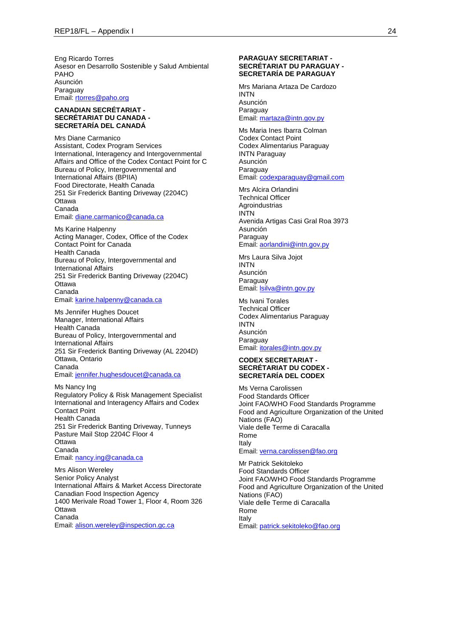Eng Ricardo Torres Asesor en Desarrollo Sostenible y Salud Ambiental PAHO Asunción Paraguay Email[: rtorres@paho.org](mailto:rtorres@paho.org)

#### **CANADIAN SECRÉTARIAT - SECRÉTARIAT DU CANADA - SECRETARÍA DEL CANADÁ**

Mrs Diane Carmanico Assistant, Codex Program Services International, Interagency and Intergovernmental Affairs and Office of the Codex Contact Point for C Bureau of Policy, Intergovernmental and International Affairs (BPIIA) Food Directorate, Health Canada 251 Sir Frederick Banting Driveway (2204C) **Ottawa** Canada

Email[: diane.carmanico@canada.ca](mailto:diane.carmanico@canada.ca)

Ms Karine Halpenny Acting Manager, Codex, Office of the Codex Contact Point for Canada Health Canada Bureau of Policy, Intergovernmental and International Affairs 251 Sir Frederick Banting Driveway (2204C) **Ottawa** Canada Email[: karine.halpenny@canada.ca](mailto:karine.halpenny@canada.ca)

Ms Jennifer Hughes Doucet Manager, International Affairs Health Canada Bureau of Policy, Intergovernmental and International Affairs 251 Sir Frederick Banting Driveway (AL 2204D) Ottawa, Ontario Canada Email[: jennifer.hughesdoucet@canada.ca](mailto:jennifer.hughesdoucet@canada.ca)

Ms Nancy Ing Regulatory Policy & Risk Management Specialist International and Interagency Affairs and Codex Contact Point Health Canada 251 Sir Frederick Banting Driveway, Tunneys Pasture Mail Stop 2204C Floor 4 **Ottawa** Canada Email[: nancy.ing@canada.ca](mailto:nancy.ing@canada.ca)

Mrs Alison Wereley Senior Policy Analyst International Affairs & Market Access Directorate Canadian Food Inspection Agency 1400 Merivale Road Tower 1, Floor 4, Room 326 **Ottawa** Canada Email[: alison.wereley@inspection.gc.ca](mailto:alison.wereley@inspection.gc.ca)

#### **PARAGUAY SECRETARIAT - SECRÉTARIAT DU PARAGUAY - SECRETARÍA DE PARAGUAY**

Mrs Mariana Artaza De Cardozo INTN Asunción Paraguay Email: [martaza@intn.gov.py](mailto:martaza@intn.gov.py)

Ms Maria Ines Ibarra Colman Codex Contact Point Codex Alimentarius Paraguay INTN Paraguay Asunción Paraguay Email: [codexparaguay@gmail.com](mailto:codexparaguay@gmail.com)

Mrs Alcira Orlandini Technical Officer Agroindustrias INTN Avenida Artigas Casi Gral Roa 3973 Asunción Paraguay Email: [aorlandini@intn.gov.py](mailto:aorlandini@intn.gov.py)

Mrs Laura Silva Jojot INTN Asunción Paraguay Email: [lsilva@intn.gov.py](mailto:lsilva@intn.gov.py)

Ms Ivani Torales Technical Officer Codex Alimentarius Paraguay INTN Asunción Paraguay Email: [itorales@intn.gov.py](mailto:itorales@intn.gov.py)

#### **CODEX SECRETARIAT - SECRÉTARIAT DU CODEX - SECRETARÍA DEL CODEX**

Ms Verna Carolissen Food Standards Officer Joint FAO/WHO Food Standards Programme Food and Agriculture Organization of the United Nations (FAO) Viale delle Terme di Caracalla Rome Italy Email: [verna.carolissen@fao.org](mailto:verna.carolissen@fao.org)

Mr Patrick Sekitoleko Food Standards Officer Joint FAO/WHO Food Standards Programme Food and Agriculture Organization of the United Nations (FAO) Viale delle Terme di Caracalla Rome Italy Email: [patrick.sekitoleko@fao.org](mailto:patrick.sekitoleko@fao.org)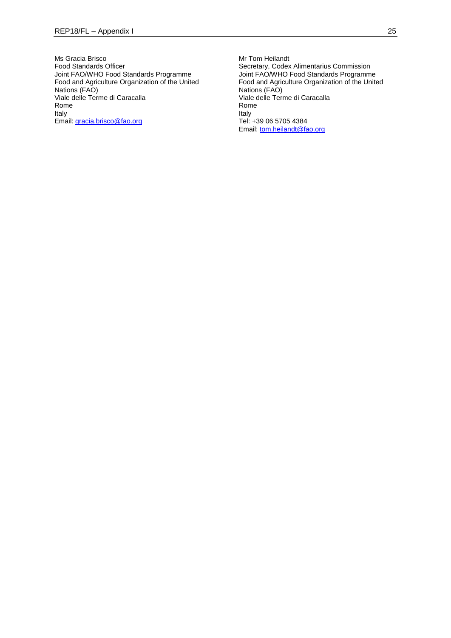Ms Gracia Brisco Food Standards Officer Joint FAO/WHO Food Standards Programme Food and Agriculture Organization of the United Nations (FAO) Viale delle Terme di Caracalla Rome Italy Email[: gracia.brisco@fao.org](mailto:gracia.brisco@fao.org)

Mr Tom Heilandt Secretary, Codex Alimentarius Commission Joint FAO/WHO Food Standards Programme Food and Agriculture Organization of the United Nations (FAO) Viale delle Terme di Caracalla Rome Italy Tel: +39 06 5705 4384 Email: [tom.heilandt@fao.org](mailto:tom.heilandt@fao.org)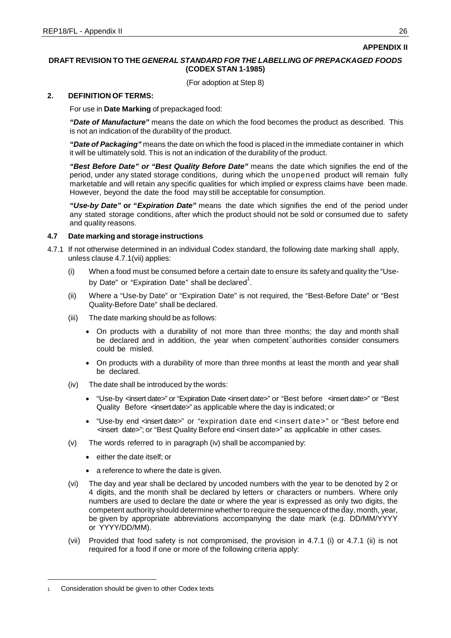## **APPENDIX II**

## **DRAFT REVISION TO THE** *GENERAL STANDARD FOR THE LABELLING OF PREPACKAGED FOODS* **(CODEX STAN 1-1985)**

(For adoption at Step 8)

### **2. DEFINITION OF TERMS:**

For use in **Date Marking** of prepackaged food:

*"Date of Manufacture"* means the date on which the food becomes the product as described. This is not an indication of the durability of the product.

*"Date of Packaging"* means the date on which the food is placed in the immediate container in which it will be ultimately sold. This is not an indication of the durability of the product.

*"Best Before Date" or "Best Quality Before Date"* means the date which signifies the end of the period, under any stated storage conditions, during which the unopened product will remain fully marketable and will retain any specific qualities for which implied or express claims have been made. However, beyond the date the food may still be acceptable for consumption.

*"Use-by Date"* **or "***Expiration Date"* means the date which signifies the end of the period under any stated storage conditions, after which the product should not be sold or consumed due to safety and quality reasons.

## **4.7 Date marking and storage instructions**

- 4.7.1 If not otherwise determined in an individual Codex standard, the following date marking shall apply, unless clause 4.7.1(vii) applies:
	- (i) When a food must be consumed before a certain date to ensure its safety and quality the "Useby Date" or "Expiration Date" shall be declared<sup>1</sup>.
	- (ii) Where a "Use-by Date" or "Expiration Date" is not required, the "Best-Before Date" or "Best Quality-Before Date" shall be declared.
	- (iii) The date marking should be as follows:
		- On products with a durability of not more than three months; the day and month shall be declared and in addition, the year when competent authorities consider consumers could be misled.
		- On products with a durability of more than three months at least the month and year shall be declared.
	- (iv) The date shall be introduced by the words:
		- "Use-by <insert date>" or "Expiration Date <insert date>" or "Best before <insert date>" or "Best Quality Before <insert date>" as applicable where the day is indicated; or
		- "Use-by end <insert date>" or "expiration date end <insert date>" or "Best before end <insert date>"; or "Best Quality Before end <insert date>" as applicable in other cases.
	- (v) The words referred to in paragraph (iv) shall be accompanied by:
		- either the date itself; or
		- a reference to where the date is given.
	- (vi) The day and year shall be declared by uncoded numbers with the year to be denoted by 2 or 4 digits, and the month shall be declared by letters or characters or numbers. Where only numbers are used to declare the date or where the year is expressed as only two digits, the competent authority should determine whether to require the sequence of the day, month, year, be given by appropriate abbreviations accompanying the date mark (e.g. DD/MM/YYYY or YYYY/DD/MM).
	- (vii) Provided that food safety is not compromised, the provision in 4.7.1 (i) or 4.7.1 (ii) is not required for a food if one or more of the following criteria apply:

Consideration should be given to other Codex texts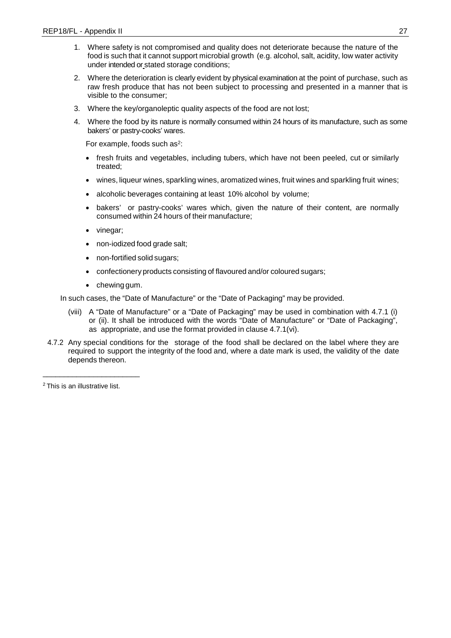- 1. Where safety is not compromised and quality does not deteriorate because the nature of the food is such that it cannot support microbial growth (e.g. alcohol, salt, acidity, low water activity under intended or stated storage conditions;
- 2. Where the deterioration is clearly evident by physical examination at the point of purchase, such as raw fresh produce that has not been subject to processing and presented in a manner that is visible to the consumer;
- 3. Where the key/organoleptic quality aspects of the food are not lost;
- 4. Where the food by its nature is normally consumed within 24 hours of its manufacture, such as some bakers' or pastry-cooks' wares.

For example, foods such as<sup>2</sup>:

- fresh fruits and vegetables, including tubers, which have not been peeled, cut or similarly treated;
- wines, liqueur wines, sparkling wines, aromatized wines, fruit wines and sparkling fruit wines;
- alcoholic beverages containing at least 10% alcohol by volume;
- bakers' or pastry-cooks' wares which, given the nature of their content, are normally consumed within 24 hours of their manufacture;
- vinegar;
- non-iodized food grade salt;
- non-fortified solid sugars;
- confectionery products consisting of flavoured and/or coloured sugars;
- chewing gum.

In such cases, the "Date of Manufacture" or the "Date of Packaging" may be provided.

- (viii) A "Date of Manufacture" or a "Date of Packaging" may be used in combination with 4.7.1 (i) or (ii). It shall be introduced with the words "Date of Manufacture" or "Date of Packaging", as appropriate, and use the format provided in clause 4.7.1(vi).
- 4.7.2 Any special conditions for the storage of the food shall be declared on the label where they are required to support the integrity of the food and, where a date mark is used, the validity of the date depends thereon.

2 This is an illustrative list.

\_\_\_\_\_\_\_\_\_\_\_\_\_\_\_\_\_\_\_\_\_\_\_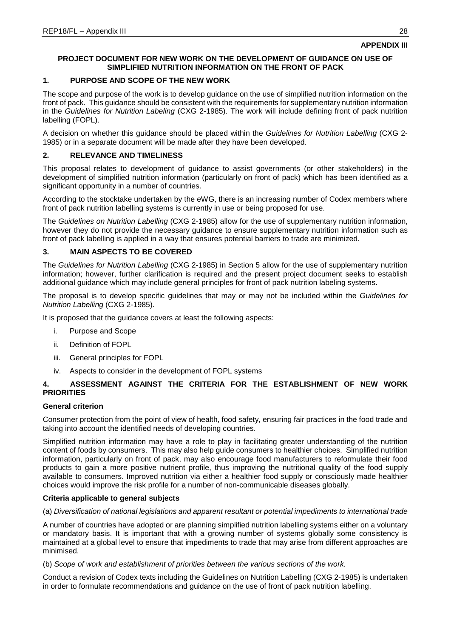## **PROJECT DOCUMENT FOR NEW WORK ON THE DEVELOPMENT OF GUIDANCE ON USE OF SIMPLIFIED NUTRITION INFORMATION ON THE FRONT OF PACK**

## **1. PURPOSE AND SCOPE OF THE NEW WORK**

The scope and purpose of the work is to develop guidance on the use of simplified nutrition information on the front of pack. This guidance should be consistent with the requirements for supplementary nutrition information in the *Guidelines for Nutrition Labeling* (CXG 2-1985). The work will include defining front of pack nutrition labelling (FOPL).

A decision on whether this guidance should be placed within the *Guidelines for Nutrition Labelling* (CXG 2- 1985) or in a separate document will be made after they have been developed.

## **2. RELEVANCE AND TIMELINESS**

This proposal relates to development of guidance to assist governments (or other stakeholders) in the development of simplified nutrition information (particularly on front of pack) which has been identified as a significant opportunity in a number of countries.

According to the stocktake undertaken by the eWG, there is an increasing number of Codex members where front of pack nutrition labelling systems is currently in use or being proposed for use.

The *Guidelines on Nutrition Labelling* (CXG 2-1985) allow for the use of supplementary nutrition information, however they do not provide the necessary guidance to ensure supplementary nutrition information such as front of pack labelling is applied in a way that ensures potential barriers to trade are minimized.

## **3. MAIN ASPECTS TO BE COVERED**

The *Guidelines for Nutrition Labelling* (CXG 2-1985) in Section 5 allow for the use of supplementary nutrition information; however, further clarification is required and the present project document seeks to establish additional guidance which may include general principles for front of pack nutrition labeling systems.

The proposal is to develop specific guidelines that may or may not be included within the *Guidelines for Nutrition Labelling* (CXG 2-1985).

It is proposed that the guidance covers at least the following aspects:

- i. Purpose and Scope
- ii. Definition of FOPL
- iii. General principles for FOPL
- iv. Aspects to consider in the development of FOPL systems

# **4. ASSESSMENT AGAINST THE CRITERIA FOR THE ESTABLISHMENT OF NEW WORK PRIORITIES**

## **General criterion**

Consumer protection from the point of view of health, food safety, ensuring fair practices in the food trade and taking into account the identified needs of developing countries.

Simplified nutrition information may have a role to play in facilitating greater understanding of the nutrition content of foods by consumers. This may also help guide consumers to healthier choices. Simplified nutrition information, particularly on front of pack, may also encourage food manufacturers to reformulate their food products to gain a more positive nutrient profile, thus improving the nutritional quality of the food supply available to consumers. Improved nutrition via either a healthier food supply or consciously made healthier choices would improve the risk profile for a number of non-communicable diseases globally.

## **Criteria applicable to general subjects**

### (a) *Diversification of national legislations and apparent resultant or potential impediments to international trade*

A number of countries have adopted or are planning simplified nutrition labelling systems either on a voluntary or mandatory basis. It is important that with a growing number of systems globally some consistency is maintained at a global level to ensure that impediments to trade that may arise from different approaches are minimised.

## (b) *Scope of work and establishment of priorities between the various sections of the work.*

Conduct a revision of Codex texts including the Guidelines on Nutrition Labelling (CXG 2-1985) is undertaken in order to formulate recommendations and guidance on the use of front of pack nutrition labelling.

**APPENDIX III**